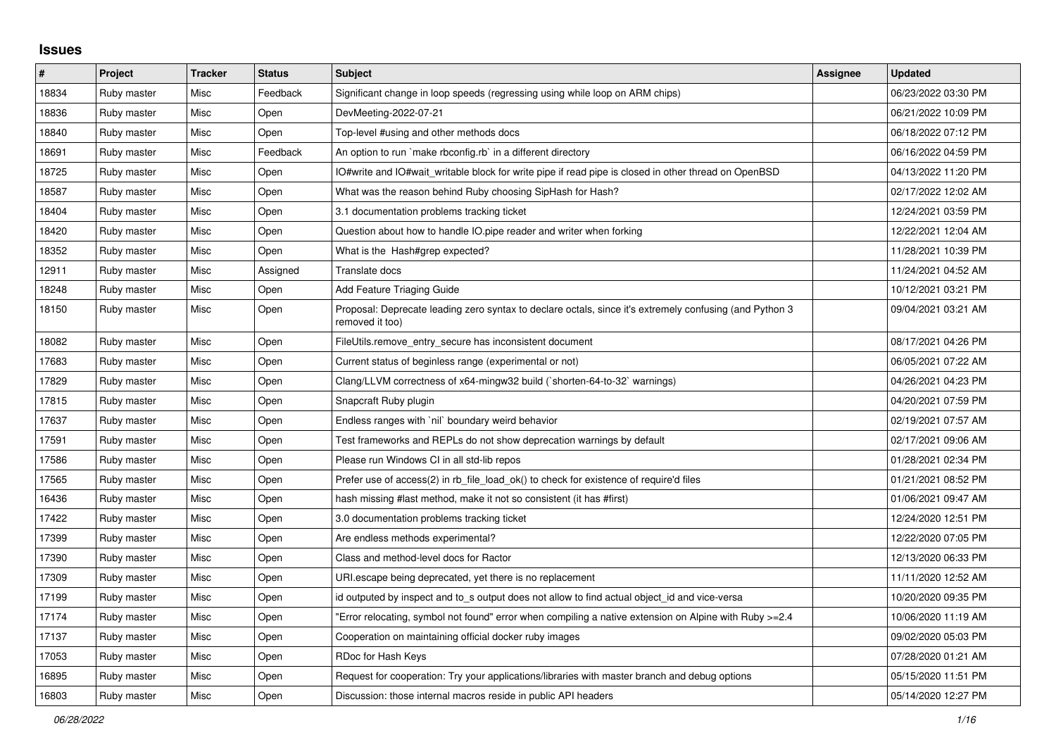## **Issues**

| #     | Project     | <b>Tracker</b> | <b>Status</b> | <b>Subject</b>                                                                                                             | Assignee | <b>Updated</b>      |
|-------|-------------|----------------|---------------|----------------------------------------------------------------------------------------------------------------------------|----------|---------------------|
| 18834 | Ruby master | Misc           | Feedback      | Significant change in loop speeds (regressing using while loop on ARM chips)                                               |          | 06/23/2022 03:30 PM |
| 18836 | Ruby master | Misc           | Open          | DevMeeting-2022-07-21                                                                                                      |          | 06/21/2022 10:09 PM |
| 18840 | Ruby master | Misc           | Open          | Top-level #using and other methods docs                                                                                    |          | 06/18/2022 07:12 PM |
| 18691 | Ruby master | Misc           | Feedback      | An option to run `make rbconfig.rb` in a different directory                                                               |          | 06/16/2022 04:59 PM |
| 18725 | Ruby master | Misc           | Open          | O#write and IO#wait writable block for write pipe if read pipe is closed in other thread on OpenBSD                        |          | 04/13/2022 11:20 PM |
| 18587 | Ruby master | Misc           | Open          | What was the reason behind Ruby choosing SipHash for Hash?                                                                 |          | 02/17/2022 12:02 AM |
| 18404 | Ruby master | Misc           | Open          | 3.1 documentation problems tracking ticket                                                                                 |          | 12/24/2021 03:59 PM |
| 18420 | Ruby master | Misc           | Open          | Question about how to handle IO.pipe reader and writer when forking                                                        |          | 12/22/2021 12:04 AM |
| 18352 | Ruby master | Misc           | Open          | What is the Hash#grep expected?                                                                                            |          | 11/28/2021 10:39 PM |
| 12911 | Ruby master | Misc           | Assigned      | Translate docs                                                                                                             |          | 11/24/2021 04:52 AM |
| 18248 | Ruby master | Misc           | Open          | Add Feature Triaging Guide                                                                                                 |          | 10/12/2021 03:21 PM |
| 18150 | Ruby master | Misc           | Open          | Proposal: Deprecate leading zero syntax to declare octals, since it's extremely confusing (and Python 3<br>removed it too) |          | 09/04/2021 03:21 AM |
| 18082 | Ruby master | Misc           | Open          | FileUtils.remove entry secure has inconsistent document                                                                    |          | 08/17/2021 04:26 PM |
| 17683 | Ruby master | Misc           | Open          | Current status of beginless range (experimental or not)                                                                    |          | 06/05/2021 07:22 AM |
| 17829 | Ruby master | Misc           | Open          | Clang/LLVM correctness of x64-mingw32 build (`shorten-64-to-32` warnings)                                                  |          | 04/26/2021 04:23 PM |
| 17815 | Ruby master | Misc           | Open          | Snapcraft Ruby plugin                                                                                                      |          | 04/20/2021 07:59 PM |
| 17637 | Ruby master | Misc           | Open          | Endless ranges with `nil` boundary weird behavior                                                                          |          | 02/19/2021 07:57 AM |
| 17591 | Ruby master | Misc           | Open          | Test frameworks and REPLs do not show deprecation warnings by default                                                      |          | 02/17/2021 09:06 AM |
| 17586 | Ruby master | Misc           | Open          | Please run Windows CI in all std-lib repos                                                                                 |          | 01/28/2021 02:34 PM |
| 17565 | Ruby master | Misc           | Open          | Prefer use of access(2) in rb_file_load_ok() to check for existence of require'd files                                     |          | 01/21/2021 08:52 PM |
| 16436 | Ruby master | Misc           | Open          | hash missing #last method, make it not so consistent (it has #first)                                                       |          | 01/06/2021 09:47 AM |
| 17422 | Ruby master | Misc           | Open          | 3.0 documentation problems tracking ticket                                                                                 |          | 12/24/2020 12:51 PM |
| 17399 | Ruby master | Misc           | Open          | Are endless methods experimental?                                                                                          |          | 12/22/2020 07:05 PM |
| 17390 | Ruby master | Misc           | Open          | Class and method-level docs for Ractor                                                                                     |          | 12/13/2020 06:33 PM |
| 17309 | Ruby master | Misc           | Open          | URI escape being deprecated, yet there is no replacement                                                                   |          | 11/11/2020 12:52 AM |
| 17199 | Ruby master | Misc           | Open          | id outputed by inspect and to s output does not allow to find actual object id and vice-versa                              |          | 10/20/2020 09:35 PM |
| 17174 | Ruby master | Misc           | Open          | Error relocating, symbol not found" error when compiling a native extension on Alpine with Ruby >=2.4                      |          | 10/06/2020 11:19 AM |
| 17137 | Ruby master | Misc           | Open          | Cooperation on maintaining official docker ruby images                                                                     |          | 09/02/2020 05:03 PM |
| 17053 | Ruby master | Misc           | Open          | RDoc for Hash Keys                                                                                                         |          | 07/28/2020 01:21 AM |
| 16895 | Ruby master | Misc           | Open          | Request for cooperation: Try your applications/libraries with master branch and debug options                              |          | 05/15/2020 11:51 PM |
| 16803 | Ruby master | Misc           | Open          | Discussion: those internal macros reside in public API headers                                                             |          | 05/14/2020 12:27 PM |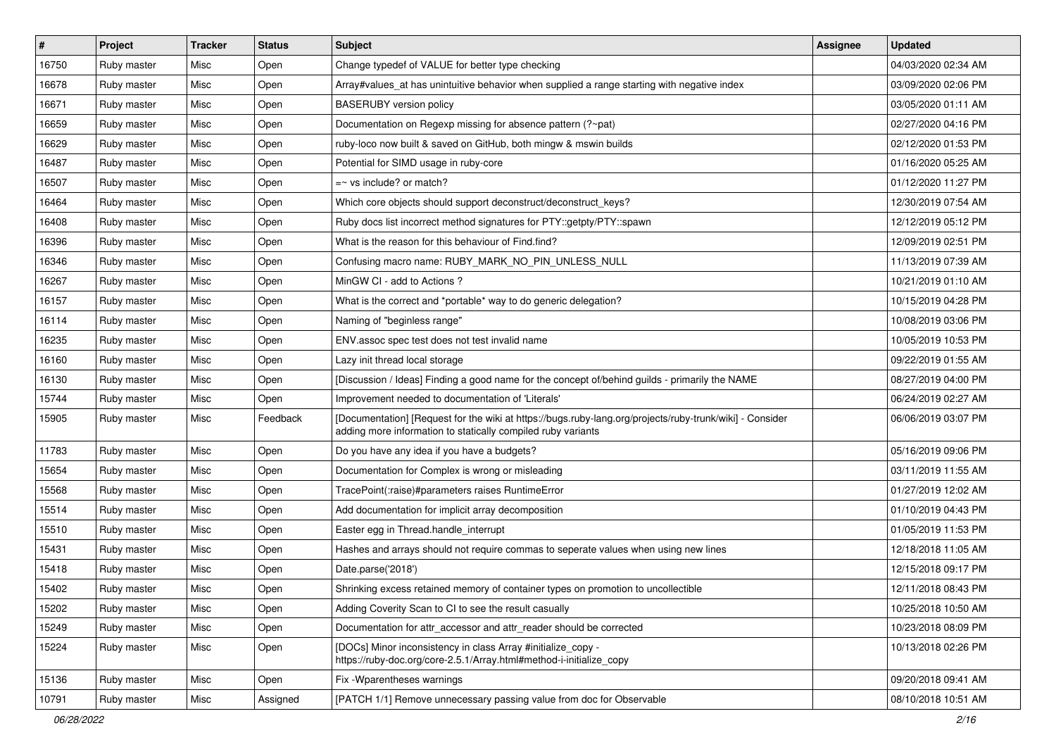| $\vert$ # | Project     | <b>Tracker</b> | <b>Status</b> | <b>Subject</b>                                                                                                                                                           | Assignee | <b>Updated</b>      |
|-----------|-------------|----------------|---------------|--------------------------------------------------------------------------------------------------------------------------------------------------------------------------|----------|---------------------|
| 16750     | Ruby master | Misc           | Open          | Change typedef of VALUE for better type checking                                                                                                                         |          | 04/03/2020 02:34 AM |
| 16678     | Ruby master | Misc           | Open          | Array#values_at has unintuitive behavior when supplied a range starting with negative index                                                                              |          | 03/09/2020 02:06 PM |
| 16671     | Ruby master | Misc           | Open          | <b>BASERUBY</b> version policy                                                                                                                                           |          | 03/05/2020 01:11 AM |
| 16659     | Ruby master | Misc           | Open          | Documentation on Regexp missing for absence pattern (?~pat)                                                                                                              |          | 02/27/2020 04:16 PM |
| 16629     | Ruby master | Misc           | Open          | ruby-loco now built & saved on GitHub, both mingw & mswin builds                                                                                                         |          | 02/12/2020 01:53 PM |
| 16487     | Ruby master | Misc           | Open          | Potential for SIMD usage in ruby-core                                                                                                                                    |          | 01/16/2020 05:25 AM |
| 16507     | Ruby master | Misc           | Open          | $=$ vs include? or match?                                                                                                                                                |          | 01/12/2020 11:27 PM |
| 16464     | Ruby master | Misc           | Open          | Which core objects should support deconstruct/deconstruct_keys?                                                                                                          |          | 12/30/2019 07:54 AM |
| 16408     | Ruby master | Misc           | Open          | Ruby docs list incorrect method signatures for PTY::getpty/PTY::spawn                                                                                                    |          | 12/12/2019 05:12 PM |
| 16396     | Ruby master | Misc           | Open          | What is the reason for this behaviour of Find.find?                                                                                                                      |          | 12/09/2019 02:51 PM |
| 16346     | Ruby master | Misc           | Open          | Confusing macro name: RUBY_MARK_NO_PIN_UNLESS_NULL                                                                                                                       |          | 11/13/2019 07:39 AM |
| 16267     | Ruby master | Misc           | Open          | MinGW CI - add to Actions?                                                                                                                                               |          | 10/21/2019 01:10 AM |
| 16157     | Ruby master | Misc           | Open          | What is the correct and *portable* way to do generic delegation?                                                                                                         |          | 10/15/2019 04:28 PM |
| 16114     | Ruby master | Misc           | Open          | Naming of "beginless range"                                                                                                                                              |          | 10/08/2019 03:06 PM |
| 16235     | Ruby master | Misc           | Open          | ENV assoc spec test does not test invalid name                                                                                                                           |          | 10/05/2019 10:53 PM |
| 16160     | Ruby master | Misc           | Open          | Lazy init thread local storage                                                                                                                                           |          | 09/22/2019 01:55 AM |
| 16130     | Ruby master | Misc           | Open          | [Discussion / Ideas] Finding a good name for the concept of/behind guilds - primarily the NAME                                                                           |          | 08/27/2019 04:00 PM |
| 15744     | Ruby master | Misc           | Open          | Improvement needed to documentation of 'Literals'                                                                                                                        |          | 06/24/2019 02:27 AM |
| 15905     | Ruby master | Misc           | Feedback      | [Documentation] [Request for the wiki at https://bugs.ruby-lang.org/projects/ruby-trunk/wiki] - Consider<br>adding more information to statically compiled ruby variants |          | 06/06/2019 03:07 PM |
| 11783     | Ruby master | Misc           | Open          | Do you have any idea if you have a budgets?                                                                                                                              |          | 05/16/2019 09:06 PM |
| 15654     | Ruby master | Misc           | Open          | Documentation for Complex is wrong or misleading                                                                                                                         |          | 03/11/2019 11:55 AM |
| 15568     | Ruby master | Misc           | Open          | TracePoint(:raise)#parameters raises RuntimeError                                                                                                                        |          | 01/27/2019 12:02 AM |
| 15514     | Ruby master | Misc           | Open          | Add documentation for implicit array decomposition                                                                                                                       |          | 01/10/2019 04:43 PM |
| 15510     | Ruby master | Misc           | Open          | Easter egg in Thread.handle_interrupt                                                                                                                                    |          | 01/05/2019 11:53 PM |
| 15431     | Ruby master | Misc           | Open          | Hashes and arrays should not require commas to seperate values when using new lines                                                                                      |          | 12/18/2018 11:05 AM |
| 15418     | Ruby master | Misc           | Open          | Date.parse('2018')                                                                                                                                                       |          | 12/15/2018 09:17 PM |
| 15402     | Ruby master | Misc           | Open          | Shrinking excess retained memory of container types on promotion to uncollectible                                                                                        |          | 12/11/2018 08:43 PM |
| 15202     | Ruby master | Misc           | Open          | Adding Coverity Scan to CI to see the result casually                                                                                                                    |          | 10/25/2018 10:50 AM |
| 15249     | Ruby master | Misc           | Open          | Documentation for attr_accessor and attr_reader should be corrected                                                                                                      |          | 10/23/2018 08:09 PM |
| 15224     | Ruby master | Misc           | Open          | [DOCs] Minor inconsistency in class Array #initialize_copy -<br>https://ruby-doc.org/core-2.5.1/Array.html#method-i-initialize_copy                                      |          | 10/13/2018 02:26 PM |
| 15136     | Ruby master | Misc           | Open          | Fix - Wparentheses warnings                                                                                                                                              |          | 09/20/2018 09:41 AM |
| 10791     | Ruby master | Misc           | Assigned      | [PATCH 1/1] Remove unnecessary passing value from doc for Observable                                                                                                     |          | 08/10/2018 10:51 AM |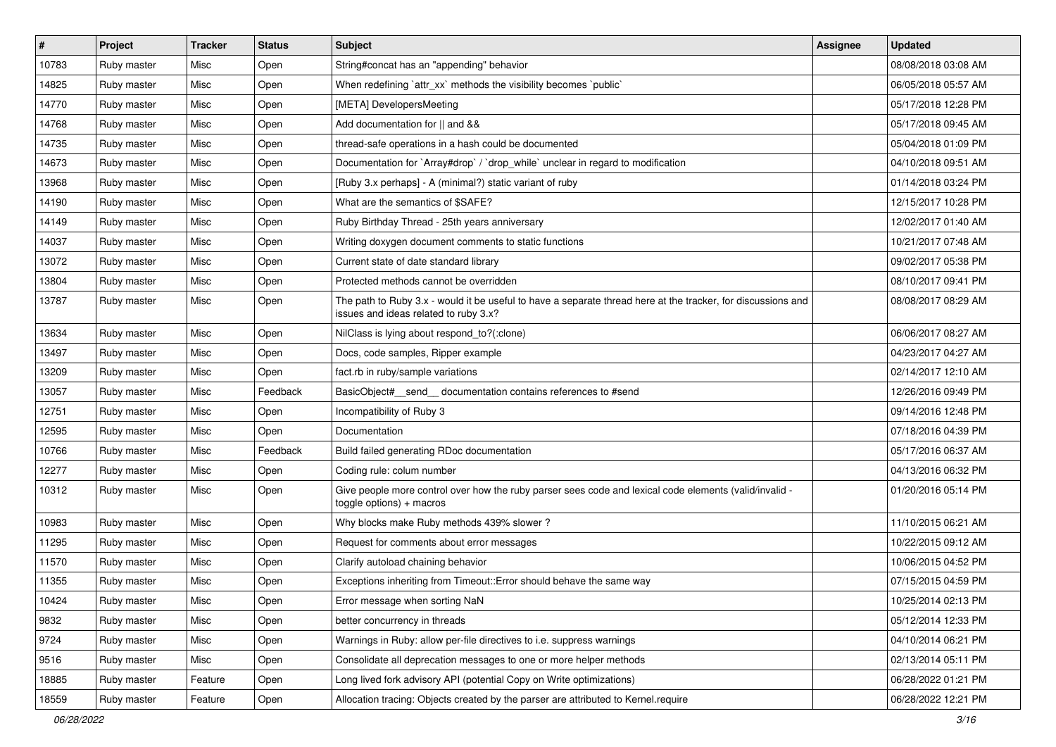| $\vert$ # | Project     | <b>Tracker</b> | <b>Status</b> | Subject                                                                                                                                               | Assignee | <b>Updated</b>      |
|-----------|-------------|----------------|---------------|-------------------------------------------------------------------------------------------------------------------------------------------------------|----------|---------------------|
| 10783     | Ruby master | Misc           | Open          | String#concat has an "appending" behavior                                                                                                             |          | 08/08/2018 03:08 AM |
| 14825     | Ruby master | Misc           | Open          | When redefining 'attr_xx' methods the visibility becomes 'public'                                                                                     |          | 06/05/2018 05:57 AM |
| 14770     | Ruby master | Misc           | Open          | [META] DevelopersMeeting                                                                                                                              |          | 05/17/2018 12:28 PM |
| 14768     | Ruby master | Misc           | Open          | Add documentation for    and &&                                                                                                                       |          | 05/17/2018 09:45 AM |
| 14735     | Ruby master | Misc           | Open          | thread-safe operations in a hash could be documented                                                                                                  |          | 05/04/2018 01:09 PM |
| 14673     | Ruby master | Misc           | Open          | Documentation for `Array#drop` / `drop while` unclear in regard to modification                                                                       |          | 04/10/2018 09:51 AM |
| 13968     | Ruby master | Misc           | Open          | [Ruby 3.x perhaps] - A (minimal?) static variant of ruby                                                                                              |          | 01/14/2018 03:24 PM |
| 14190     | Ruby master | Misc           | Open          | What are the semantics of \$SAFE?                                                                                                                     |          | 12/15/2017 10:28 PM |
| 14149     | Ruby master | Misc           | Open          | Ruby Birthday Thread - 25th years anniversary                                                                                                         |          | 12/02/2017 01:40 AM |
| 14037     | Ruby master | Misc           | Open          | Writing doxygen document comments to static functions                                                                                                 |          | 10/21/2017 07:48 AM |
| 13072     | Ruby master | Misc           | Open          | Current state of date standard library                                                                                                                |          | 09/02/2017 05:38 PM |
| 13804     | Ruby master | Misc           | Open          | Protected methods cannot be overridden                                                                                                                |          | 08/10/2017 09:41 PM |
| 13787     | Ruby master | Misc           | Open          | The path to Ruby 3.x - would it be useful to have a separate thread here at the tracker, for discussions and<br>issues and ideas related to ruby 3.x? |          | 08/08/2017 08:29 AM |
| 13634     | Ruby master | Misc           | Open          | NilClass is lying about respond_to?(:clone)                                                                                                           |          | 06/06/2017 08:27 AM |
| 13497     | Ruby master | Misc           | Open          | Docs, code samples, Ripper example                                                                                                                    |          | 04/23/2017 04:27 AM |
| 13209     | Ruby master | Misc           | Open          | fact.rb in ruby/sample variations                                                                                                                     |          | 02/14/2017 12:10 AM |
| 13057     | Ruby master | Misc           | Feedback      | BasicObject#_send_ documentation contains references to #send                                                                                         |          | 12/26/2016 09:49 PM |
| 12751     | Ruby master | Misc           | Open          | Incompatibility of Ruby 3                                                                                                                             |          | 09/14/2016 12:48 PM |
| 12595     | Ruby master | Misc           | Open          | Documentation                                                                                                                                         |          | 07/18/2016 04:39 PM |
| 10766     | Ruby master | Misc           | Feedback      | Build failed generating RDoc documentation                                                                                                            |          | 05/17/2016 06:37 AM |
| 12277     | Ruby master | Misc           | Open          | Coding rule: colum number                                                                                                                             |          | 04/13/2016 06:32 PM |
| 10312     | Ruby master | Misc           | Open          | - Give people more control over how the ruby parser sees code and lexical code elements (valid/invalid<br>$to ggle$ options) + macros                 |          | 01/20/2016 05:14 PM |
| 10983     | Ruby master | Misc           | Open          | Why blocks make Ruby methods 439% slower?                                                                                                             |          | 11/10/2015 06:21 AM |
| 11295     | Ruby master | Misc           | Open          | Request for comments about error messages                                                                                                             |          | 10/22/2015 09:12 AM |
| 11570     | Ruby master | Misc           | Open          | Clarify autoload chaining behavior                                                                                                                    |          | 10/06/2015 04:52 PM |
| 11355     | Ruby master | Misc           | Open          | Exceptions inheriting from Timeout:: Error should behave the same way                                                                                 |          | 07/15/2015 04:59 PM |
| 10424     | Ruby master | Misc           | Open          | Error message when sorting NaN                                                                                                                        |          | 10/25/2014 02:13 PM |
| 9832      | Ruby master | Misc           | Open          | better concurrency in threads                                                                                                                         |          | 05/12/2014 12:33 PM |
| 9724      | Ruby master | Misc           | Open          | Warnings in Ruby: allow per-file directives to i.e. suppress warnings                                                                                 |          | 04/10/2014 06:21 PM |
| 9516      | Ruby master | Misc           | Open          | Consolidate all deprecation messages to one or more helper methods                                                                                    |          | 02/13/2014 05:11 PM |
| 18885     | Ruby master | Feature        | Open          | Long lived fork advisory API (potential Copy on Write optimizations)                                                                                  |          | 06/28/2022 01:21 PM |
| 18559     | Ruby master | Feature        | Open          | Allocation tracing: Objects created by the parser are attributed to Kernel.require                                                                    |          | 06/28/2022 12:21 PM |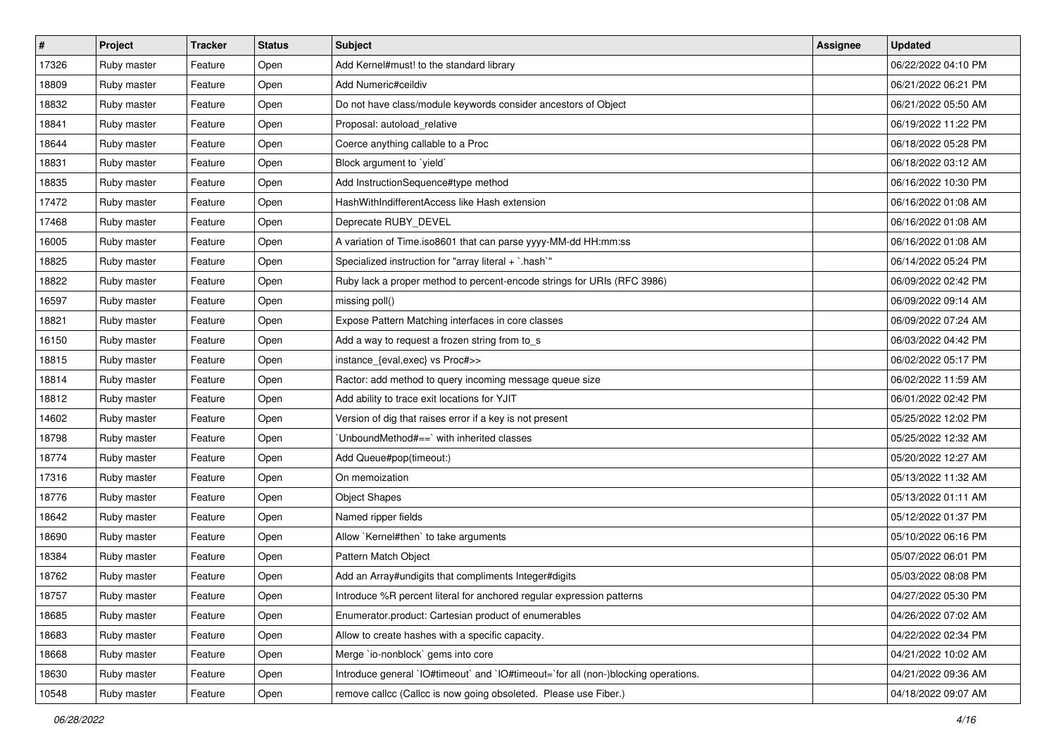| $\vert$ # | Project     | <b>Tracker</b> | <b>Status</b> | <b>Subject</b>                                                                     | Assignee | <b>Updated</b>      |
|-----------|-------------|----------------|---------------|------------------------------------------------------------------------------------|----------|---------------------|
| 17326     | Ruby master | Feature        | Open          | Add Kernel#must! to the standard library                                           |          | 06/22/2022 04:10 PM |
| 18809     | Ruby master | Feature        | Open          | Add Numeric#ceildiv                                                                |          | 06/21/2022 06:21 PM |
| 18832     | Ruby master | Feature        | Open          | Do not have class/module keywords consider ancestors of Object                     |          | 06/21/2022 05:50 AM |
| 18841     | Ruby master | Feature        | Open          | Proposal: autoload_relative                                                        |          | 06/19/2022 11:22 PM |
| 18644     | Ruby master | Feature        | Open          | Coerce anything callable to a Proc                                                 |          | 06/18/2022 05:28 PM |
| 18831     | Ruby master | Feature        | Open          | Block argument to 'yield'                                                          |          | 06/18/2022 03:12 AM |
| 18835     | Ruby master | Feature        | Open          | Add InstructionSequence#type method                                                |          | 06/16/2022 10:30 PM |
| 17472     | Ruby master | Feature        | Open          | HashWithIndifferentAccess like Hash extension                                      |          | 06/16/2022 01:08 AM |
| 17468     | Ruby master | Feature        | Open          | Deprecate RUBY_DEVEL                                                               |          | 06/16/2022 01:08 AM |
| 16005     | Ruby master | Feature        | Open          | A variation of Time.iso8601 that can parse yyyy-MM-dd HH:mm:ss                     |          | 06/16/2022 01:08 AM |
| 18825     | Ruby master | Feature        | Open          | Specialized instruction for "array literal + `.hash`"                              |          | 06/14/2022 05:24 PM |
| 18822     | Ruby master | Feature        | Open          | Ruby lack a proper method to percent-encode strings for URIs (RFC 3986)            |          | 06/09/2022 02:42 PM |
| 16597     | Ruby master | Feature        | Open          | missing poll()                                                                     |          | 06/09/2022 09:14 AM |
| 18821     | Ruby master | Feature        | Open          | Expose Pattern Matching interfaces in core classes                                 |          | 06/09/2022 07:24 AM |
| 16150     | Ruby master | Feature        | Open          | Add a way to request a frozen string from to_s                                     |          | 06/03/2022 04:42 PM |
| 18815     | Ruby master | Feature        | Open          | instance_{eval,exec} vs Proc#>>                                                    |          | 06/02/2022 05:17 PM |
| 18814     | Ruby master | Feature        | Open          | Ractor: add method to query incoming message queue size                            |          | 06/02/2022 11:59 AM |
| 18812     | Ruby master | Feature        | Open          | Add ability to trace exit locations for YJIT                                       |          | 06/01/2022 02:42 PM |
| 14602     | Ruby master | Feature        | Open          | Version of dig that raises error if a key is not present                           |          | 05/25/2022 12:02 PM |
| 18798     | Ruby master | Feature        | Open          | 'UnboundMethod#==' with inherited classes                                          |          | 05/25/2022 12:32 AM |
| 18774     | Ruby master | Feature        | Open          | Add Queue#pop(timeout:)                                                            |          | 05/20/2022 12:27 AM |
| 17316     | Ruby master | Feature        | Open          | On memoization                                                                     |          | 05/13/2022 11:32 AM |
| 18776     | Ruby master | Feature        | Open          | <b>Object Shapes</b>                                                               |          | 05/13/2022 01:11 AM |
| 18642     | Ruby master | Feature        | Open          | Named ripper fields                                                                |          | 05/12/2022 01:37 PM |
| 18690     | Ruby master | Feature        | Open          | Allow `Kernel#then` to take arguments                                              |          | 05/10/2022 06:16 PM |
| 18384     | Ruby master | Feature        | Open          | Pattern Match Object                                                               |          | 05/07/2022 06:01 PM |
| 18762     | Ruby master | Feature        | Open          | Add an Array#undigits that compliments Integer#digits                              |          | 05/03/2022 08:08 PM |
| 18757     | Ruby master | Feature        | Open          | Introduce %R percent literal for anchored regular expression patterns              |          | 04/27/2022 05:30 PM |
| 18685     | Ruby master | Feature        | Open          | Enumerator.product: Cartesian product of enumerables                               |          | 04/26/2022 07:02 AM |
| 18683     | Ruby master | Feature        | Open          | Allow to create hashes with a specific capacity.                                   |          | 04/22/2022 02:34 PM |
| 18668     | Ruby master | Feature        | Open          | Merge `io-nonblock` gems into core                                                 |          | 04/21/2022 10:02 AM |
| 18630     | Ruby master | Feature        | Open          | Introduce general 'IO#timeout' and 'IO#timeout='for all (non-)blocking operations. |          | 04/21/2022 09:36 AM |
| 10548     | Ruby master | Feature        | Open          | remove callcc (Callcc is now going obsoleted. Please use Fiber.)                   |          | 04/18/2022 09:07 AM |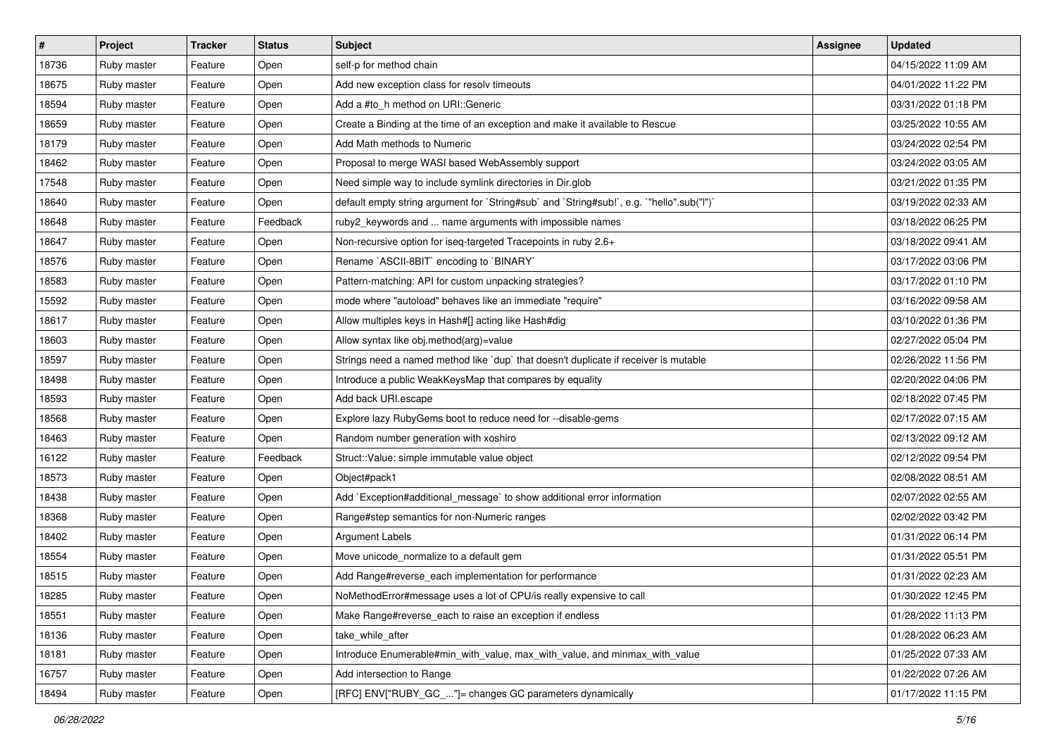| $\vert$ # | <b>Project</b> | <b>Tracker</b> | <b>Status</b> | <b>Subject</b>                                                                            | <b>Assignee</b> | <b>Updated</b>      |
|-----------|----------------|----------------|---------------|-------------------------------------------------------------------------------------------|-----------------|---------------------|
| 18736     | Ruby master    | Feature        | Open          | self-p for method chain                                                                   |                 | 04/15/2022 11:09 AM |
| 18675     | Ruby master    | Feature        | Open          | Add new exception class for resolv timeouts                                               |                 | 04/01/2022 11:22 PM |
| 18594     | Ruby master    | Feature        | Open          | Add a #to_h method on URI::Generic                                                        |                 | 03/31/2022 01:18 PM |
| 18659     | Ruby master    | Feature        | Open          | Create a Binding at the time of an exception and make it available to Rescue              |                 | 03/25/2022 10:55 AM |
| 18179     | Ruby master    | Feature        | Open          | Add Math methods to Numeric                                                               |                 | 03/24/2022 02:54 PM |
| 18462     | Ruby master    | Feature        | Open          | Proposal to merge WASI based WebAssembly support                                          |                 | 03/24/2022 03:05 AM |
| 17548     | Ruby master    | Feature        | Open          | Need simple way to include symlink directories in Dir.glob                                |                 | 03/21/2022 01:35 PM |
| 18640     | Ruby master    | Feature        | Open          | default empty string argument for `String#sub` and `String#sub!`, e.g. `"hello".sub("I")` |                 | 03/19/2022 02:33 AM |
| 18648     | Ruby master    | Feature        | Feedback      | ruby2_keywords and  name arguments with impossible names                                  |                 | 03/18/2022 06:25 PM |
| 18647     | Ruby master    | Feature        | Open          | Non-recursive option for iseq-targeted Tracepoints in ruby 2.6+                           |                 | 03/18/2022 09:41 AM |
| 18576     | Ruby master    | Feature        | Open          | Rename `ASCII-8BIT` encoding to `BINARY`                                                  |                 | 03/17/2022 03:06 PM |
| 18583     | Ruby master    | Feature        | Open          | Pattern-matching: API for custom unpacking strategies?                                    |                 | 03/17/2022 01:10 PM |
| 15592     | Ruby master    | Feature        | Open          | mode where "autoload" behaves like an immediate "require"                                 |                 | 03/16/2022 09:58 AM |
| 18617     | Ruby master    | Feature        | Open          | Allow multiples keys in Hash#[] acting like Hash#dig                                      |                 | 03/10/2022 01:36 PM |
| 18603     | Ruby master    | Feature        | Open          | Allow syntax like obj.method(arg)=value                                                   |                 | 02/27/2022 05:04 PM |
| 18597     | Ruby master    | Feature        | Open          | Strings need a named method like `dup` that doesn't duplicate if receiver is mutable      |                 | 02/26/2022 11:56 PM |
| 18498     | Ruby master    | Feature        | Open          | Introduce a public WeakKeysMap that compares by equality                                  |                 | 02/20/2022 04:06 PM |
| 18593     | Ruby master    | Feature        | Open          | Add back URI.escape                                                                       |                 | 02/18/2022 07:45 PM |
| 18568     | Ruby master    | Feature        | Open          | Explore lazy RubyGems boot to reduce need for --disable-gems                              |                 | 02/17/2022 07:15 AM |
| 18463     | Ruby master    | Feature        | Open          | Random number generation with xoshiro                                                     |                 | 02/13/2022 09:12 AM |
| 16122     | Ruby master    | Feature        | Feedback      | Struct:: Value: simple immutable value object                                             |                 | 02/12/2022 09:54 PM |
| 18573     | Ruby master    | Feature        | Open          | Object#pack1                                                                              |                 | 02/08/2022 08:51 AM |
| 18438     | Ruby master    | Feature        | Open          | Add `Exception#additional_message` to show additional error information                   |                 | 02/07/2022 02:55 AM |
| 18368     | Ruby master    | Feature        | Open          | Range#step semantics for non-Numeric ranges                                               |                 | 02/02/2022 03:42 PM |
| 18402     | Ruby master    | Feature        | Open          | <b>Argument Labels</b>                                                                    |                 | 01/31/2022 06:14 PM |
| 18554     | Ruby master    | Feature        | Open          | Move unicode_normalize to a default gem                                                   |                 | 01/31/2022 05:51 PM |
| 18515     | Ruby master    | Feature        | Open          | Add Range#reverse_each implementation for performance                                     |                 | 01/31/2022 02:23 AM |
| 18285     | Ruby master    | Feature        | Open          | NoMethodError#message uses a lot of CPU/is really expensive to call                       |                 | 01/30/2022 12:45 PM |
| 18551     | Ruby master    | Feature        | Open          | Make Range#reverse_each to raise an exception if endless                                  |                 | 01/28/2022 11:13 PM |
| 18136     | Ruby master    | Feature        | Open          | take while after                                                                          |                 | 01/28/2022 06:23 AM |
| 18181     | Ruby master    | Feature        | Open          | Introduce Enumerable#min with value, max with value, and minmax with value                |                 | 01/25/2022 07:33 AM |
| 16757     | Ruby master    | Feature        | Open          | Add intersection to Range                                                                 |                 | 01/22/2022 07:26 AM |
| 18494     | Ruby master    | Feature        | Open          | [RFC] ENV["RUBY_GC_"]= changes GC parameters dynamically                                  |                 | 01/17/2022 11:15 PM |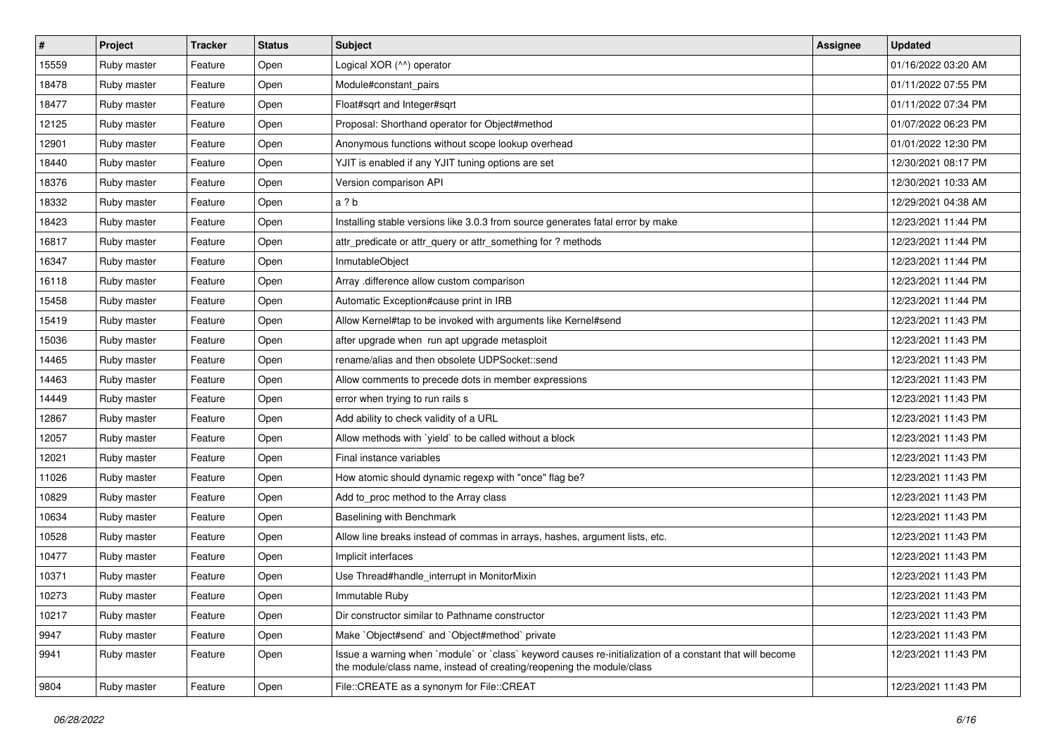| $\vert$ # | <b>Project</b> | <b>Tracker</b> | <b>Status</b> | <b>Subject</b>                                                                                                                                                                    | <b>Assignee</b> | <b>Updated</b>      |
|-----------|----------------|----------------|---------------|-----------------------------------------------------------------------------------------------------------------------------------------------------------------------------------|-----------------|---------------------|
| 15559     | Ruby master    | Feature        | Open          | Logical XOR (^^) operator                                                                                                                                                         |                 | 01/16/2022 03:20 AM |
| 18478     | Ruby master    | Feature        | Open          | Module#constant_pairs                                                                                                                                                             |                 | 01/11/2022 07:55 PM |
| 18477     | Ruby master    | Feature        | Open          | Float#sqrt and Integer#sqrt                                                                                                                                                       |                 | 01/11/2022 07:34 PM |
| 12125     | Ruby master    | Feature        | Open          | Proposal: Shorthand operator for Object#method                                                                                                                                    |                 | 01/07/2022 06:23 PM |
| 12901     | Ruby master    | Feature        | Open          | Anonymous functions without scope lookup overhead                                                                                                                                 |                 | 01/01/2022 12:30 PM |
| 18440     | Ruby master    | Feature        | Open          | YJIT is enabled if any YJIT tuning options are set                                                                                                                                |                 | 12/30/2021 08:17 PM |
| 18376     | Ruby master    | Feature        | Open          | Version comparison API                                                                                                                                                            |                 | 12/30/2021 10:33 AM |
| 18332     | Ruby master    | Feature        | Open          | a ? b                                                                                                                                                                             |                 | 12/29/2021 04:38 AM |
| 18423     | Ruby master    | Feature        | Open          | Installing stable versions like 3.0.3 from source generates fatal error by make                                                                                                   |                 | 12/23/2021 11:44 PM |
| 16817     | Ruby master    | Feature        | Open          | attr_predicate or attr_query or attr_something for ? methods                                                                                                                      |                 | 12/23/2021 11:44 PM |
| 16347     | Ruby master    | Feature        | Open          | InmutableObject                                                                                                                                                                   |                 | 12/23/2021 11:44 PM |
| 16118     | Ruby master    | Feature        | Open          | Array .difference allow custom comparison                                                                                                                                         |                 | 12/23/2021 11:44 PM |
| 15458     | Ruby master    | Feature        | Open          | Automatic Exception#cause print in IRB                                                                                                                                            |                 | 12/23/2021 11:44 PM |
| 15419     | Ruby master    | Feature        | Open          | Allow Kernel#tap to be invoked with arguments like Kernel#send                                                                                                                    |                 | 12/23/2021 11:43 PM |
| 15036     | Ruby master    | Feature        | Open          | after upgrade when run apt upgrade metasploit                                                                                                                                     |                 | 12/23/2021 11:43 PM |
| 14465     | Ruby master    | Feature        | Open          | rename/alias and then obsolete UDPSocket::send                                                                                                                                    |                 | 12/23/2021 11:43 PM |
| 14463     | Ruby master    | Feature        | Open          | Allow comments to precede dots in member expressions                                                                                                                              |                 | 12/23/2021 11:43 PM |
| 14449     | Ruby master    | Feature        | Open          | error when trying to run rails s                                                                                                                                                  |                 | 12/23/2021 11:43 PM |
| 12867     | Ruby master    | Feature        | Open          | Add ability to check validity of a URL                                                                                                                                            |                 | 12/23/2021 11:43 PM |
| 12057     | Ruby master    | Feature        | Open          | Allow methods with `yield` to be called without a block                                                                                                                           |                 | 12/23/2021 11:43 PM |
| 12021     | Ruby master    | Feature        | Open          | Final instance variables                                                                                                                                                          |                 | 12/23/2021 11:43 PM |
| 11026     | Ruby master    | Feature        | Open          | How atomic should dynamic regexp with "once" flag be?                                                                                                                             |                 | 12/23/2021 11:43 PM |
| 10829     | Ruby master    | Feature        | Open          | Add to_proc method to the Array class                                                                                                                                             |                 | 12/23/2021 11:43 PM |
| 10634     | Ruby master    | Feature        | Open          | Baselining with Benchmark                                                                                                                                                         |                 | 12/23/2021 11:43 PM |
| 10528     | Ruby master    | Feature        | Open          | Allow line breaks instead of commas in arrays, hashes, argument lists, etc.                                                                                                       |                 | 12/23/2021 11:43 PM |
| 10477     | Ruby master    | Feature        | Open          | Implicit interfaces                                                                                                                                                               |                 | 12/23/2021 11:43 PM |
| 10371     | Ruby master    | Feature        | Open          | Use Thread#handle_interrupt in MonitorMixin                                                                                                                                       |                 | 12/23/2021 11:43 PM |
| 10273     | Ruby master    | Feature        | Open          | Immutable Ruby                                                                                                                                                                    |                 | 12/23/2021 11:43 PM |
| 10217     | Ruby master    | Feature        | Open          | Dir constructor similar to Pathname constructor                                                                                                                                   |                 | 12/23/2021 11:43 PM |
| 9947      | Ruby master    | Feature        | Open          | Make `Object#send` and `Object#method` private                                                                                                                                    |                 | 12/23/2021 11:43 PM |
| 9941      | Ruby master    | Feature        | Open          | Issue a warning when `module` or `class` keyword causes re-initialization of a constant that will become<br>the module/class name, instead of creating/reopening the module/class |                 | 12/23/2021 11:43 PM |
| 9804      | Ruby master    | Feature        | Open          | File::CREATE as a synonym for File::CREAT                                                                                                                                         |                 | 12/23/2021 11:43 PM |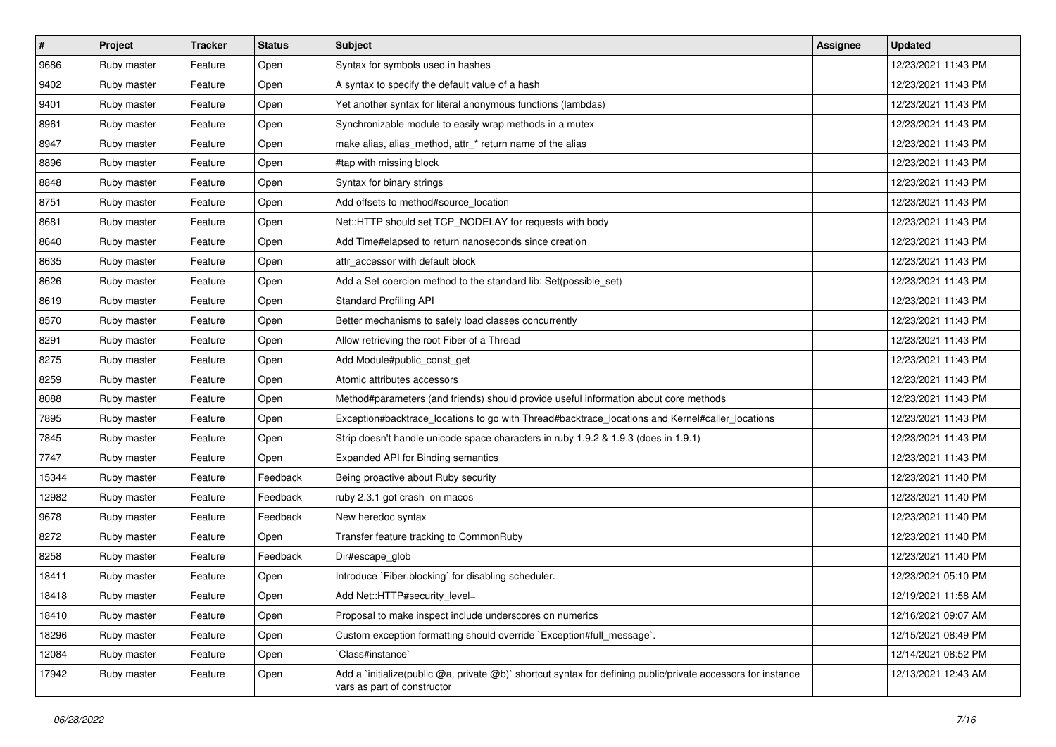| $\sharp$ | Project     | <b>Tracker</b> | <b>Status</b> | <b>Subject</b>                                                                                                                              | <b>Assignee</b> | <b>Updated</b>      |
|----------|-------------|----------------|---------------|---------------------------------------------------------------------------------------------------------------------------------------------|-----------------|---------------------|
| 9686     | Ruby master | Feature        | Open          | Syntax for symbols used in hashes                                                                                                           |                 | 12/23/2021 11:43 PM |
| 9402     | Ruby master | Feature        | Open          | A syntax to specify the default value of a hash                                                                                             |                 | 12/23/2021 11:43 PM |
| 9401     | Ruby master | Feature        | Open          | Yet another syntax for literal anonymous functions (lambdas)                                                                                |                 | 12/23/2021 11:43 PM |
| 8961     | Ruby master | Feature        | Open          | Synchronizable module to easily wrap methods in a mutex                                                                                     |                 | 12/23/2021 11:43 PM |
| 8947     | Ruby master | Feature        | Open          | make alias, alias_method, attr_* return name of the alias                                                                                   |                 | 12/23/2021 11:43 PM |
| 8896     | Ruby master | Feature        | Open          | #tap with missing block                                                                                                                     |                 | 12/23/2021 11:43 PM |
| 8848     | Ruby master | Feature        | Open          | Syntax for binary strings                                                                                                                   |                 | 12/23/2021 11:43 PM |
| 8751     | Ruby master | Feature        | Open          | Add offsets to method#source location                                                                                                       |                 | 12/23/2021 11:43 PM |
| 8681     | Ruby master | Feature        | Open          | Net::HTTP should set TCP_NODELAY for requests with body                                                                                     |                 | 12/23/2021 11:43 PM |
| 8640     | Ruby master | Feature        | Open          | Add Time#elapsed to return nanoseconds since creation                                                                                       |                 | 12/23/2021 11:43 PM |
| 8635     | Ruby master | Feature        | Open          | attr accessor with default block                                                                                                            |                 | 12/23/2021 11:43 PM |
| 8626     | Ruby master | Feature        | Open          | Add a Set coercion method to the standard lib: Set(possible_set)                                                                            |                 | 12/23/2021 11:43 PM |
| 8619     | Ruby master | Feature        | Open          | <b>Standard Profiling API</b>                                                                                                               |                 | 12/23/2021 11:43 PM |
| 8570     | Ruby master | Feature        | Open          | Better mechanisms to safely load classes concurrently                                                                                       |                 | 12/23/2021 11:43 PM |
| 8291     | Ruby master | Feature        | Open          | Allow retrieving the root Fiber of a Thread                                                                                                 |                 | 12/23/2021 11:43 PM |
| 8275     | Ruby master | Feature        | Open          | Add Module#public_const_get                                                                                                                 |                 | 12/23/2021 11:43 PM |
| 8259     | Ruby master | Feature        | Open          | Atomic attributes accessors                                                                                                                 |                 | 12/23/2021 11:43 PM |
| 8088     | Ruby master | Feature        | Open          | Method#parameters (and friends) should provide useful information about core methods                                                        |                 | 12/23/2021 11:43 PM |
| 7895     | Ruby master | Feature        | Open          | Exception#backtrace_locations to go with Thread#backtrace_locations and Kernel#caller_locations                                             |                 | 12/23/2021 11:43 PM |
| 7845     | Ruby master | Feature        | Open          | Strip doesn't handle unicode space characters in ruby 1.9.2 & 1.9.3 (does in 1.9.1)                                                         |                 | 12/23/2021 11:43 PM |
| 7747     | Ruby master | Feature        | Open          | Expanded API for Binding semantics                                                                                                          |                 | 12/23/2021 11:43 PM |
| 15344    | Ruby master | Feature        | Feedback      | Being proactive about Ruby security                                                                                                         |                 | 12/23/2021 11:40 PM |
| 12982    | Ruby master | Feature        | Feedback      | ruby 2.3.1 got crash on macos                                                                                                               |                 | 12/23/2021 11:40 PM |
| 9678     | Ruby master | Feature        | Feedback      | New heredoc syntax                                                                                                                          |                 | 12/23/2021 11:40 PM |
| 8272     | Ruby master | Feature        | Open          | Transfer feature tracking to CommonRuby                                                                                                     |                 | 12/23/2021 11:40 PM |
| 8258     | Ruby master | Feature        | Feedback      | Dir#escape_glob                                                                                                                             |                 | 12/23/2021 11:40 PM |
| 18411    | Ruby master | Feature        | Open          | Introduce `Fiber.blocking` for disabling scheduler.                                                                                         |                 | 12/23/2021 05:10 PM |
| 18418    | Ruby master | Feature        | Open          | Add Net::HTTP#security_level=                                                                                                               |                 | 12/19/2021 11:58 AM |
| 18410    | Ruby master | Feature        | Open          | Proposal to make inspect include underscores on numerics                                                                                    |                 | 12/16/2021 09:07 AM |
| 18296    | Ruby master | Feature        | Open          | Custom exception formatting should override `Exception#full_message`.                                                                       |                 | 12/15/2021 08:49 PM |
| 12084    | Ruby master | Feature        | Open          | Class#instance`                                                                                                                             |                 | 12/14/2021 08:52 PM |
| 17942    | Ruby master | Feature        | Open          | Add a `initialize(public @a, private @b)` shortcut syntax for defining public/private accessors for instance<br>vars as part of constructor |                 | 12/13/2021 12:43 AM |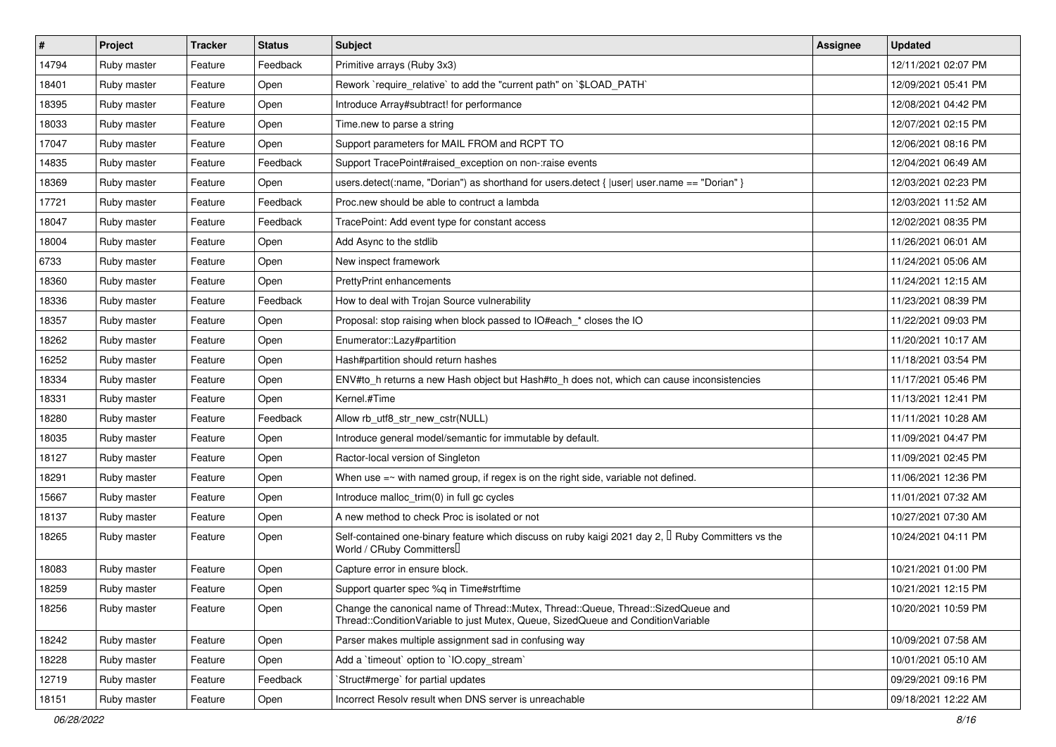| #     | Project     | <b>Tracker</b> | <b>Status</b> | Subject                                                                                                                                                               | <b>Assignee</b> | <b>Updated</b>      |
|-------|-------------|----------------|---------------|-----------------------------------------------------------------------------------------------------------------------------------------------------------------------|-----------------|---------------------|
| 14794 | Ruby master | Feature        | Feedback      | Primitive arrays (Ruby 3x3)                                                                                                                                           |                 | 12/11/2021 02:07 PM |
| 18401 | Ruby master | Feature        | Open          | Rework `require_relative` to add the "current path" on `\$LOAD_PATH`                                                                                                  |                 | 12/09/2021 05:41 PM |
| 18395 | Ruby master | Feature        | Open          | Introduce Array#subtract! for performance                                                                                                                             |                 | 12/08/2021 04:42 PM |
| 18033 | Ruby master | Feature        | Open          | Time.new to parse a string                                                                                                                                            |                 | 12/07/2021 02:15 PM |
| 17047 | Ruby master | Feature        | Open          | Support parameters for MAIL FROM and RCPT TO                                                                                                                          |                 | 12/06/2021 08:16 PM |
| 14835 | Ruby master | Feature        | Feedback      | Support TracePoint#raised exception on non-:raise events                                                                                                              |                 | 12/04/2021 06:49 AM |
| 18369 | Ruby master | Feature        | Open          | users.detect(:name, "Dorian") as shorthand for users.detect {  user  user.name == "Dorian" }                                                                          |                 | 12/03/2021 02:23 PM |
| 17721 | Ruby master | Feature        | Feedback      | Proc.new should be able to contruct a lambda                                                                                                                          |                 | 12/03/2021 11:52 AM |
| 18047 | Ruby master | Feature        | Feedback      | TracePoint: Add event type for constant access                                                                                                                        |                 | 12/02/2021 08:35 PM |
| 18004 | Ruby master | Feature        | Open          | Add Async to the stdlib                                                                                                                                               |                 | 11/26/2021 06:01 AM |
| 6733  | Ruby master | Feature        | Open          | New inspect framework                                                                                                                                                 |                 | 11/24/2021 05:06 AM |
| 18360 | Ruby master | Feature        | Open          | <b>PrettyPrint enhancements</b>                                                                                                                                       |                 | 11/24/2021 12:15 AM |
| 18336 | Ruby master | Feature        | Feedback      | How to deal with Trojan Source vulnerability                                                                                                                          |                 | 11/23/2021 08:39 PM |
| 18357 | Ruby master | Feature        | Open          | Proposal: stop raising when block passed to IO#each * closes the IO                                                                                                   |                 | 11/22/2021 09:03 PM |
| 18262 | Ruby master | Feature        | Open          | Enumerator::Lazy#partition                                                                                                                                            |                 | 11/20/2021 10:17 AM |
| 16252 | Ruby master | Feature        | Open          | Hash#partition should return hashes                                                                                                                                   |                 | 11/18/2021 03:54 PM |
| 18334 | Ruby master | Feature        | Open          | ENV#to_h returns a new Hash object but Hash#to_h does not, which can cause inconsistencies                                                                            |                 | 11/17/2021 05:46 PM |
| 18331 | Ruby master | Feature        | Open          | Kernel.#Time                                                                                                                                                          |                 | 11/13/2021 12:41 PM |
| 18280 | Ruby master | Feature        | Feedback      | Allow rb_utf8_str_new_cstr(NULL)                                                                                                                                      |                 | 11/11/2021 10:28 AM |
| 18035 | Ruby master | Feature        | Open          | Introduce general model/semantic for immutable by default.                                                                                                            |                 | 11/09/2021 04:47 PM |
| 18127 | Ruby master | Feature        | Open          | Ractor-local version of Singleton                                                                                                                                     |                 | 11/09/2021 02:45 PM |
| 18291 | Ruby master | Feature        | Open          | When use $=$ with named group, if regex is on the right side, variable not defined.                                                                                   |                 | 11/06/2021 12:36 PM |
| 15667 | Ruby master | Feature        | Open          | Introduce malloc_trim(0) in full gc cycles                                                                                                                            |                 | 11/01/2021 07:32 AM |
| 18137 | Ruby master | Feature        | Open          | A new method to check Proc is isolated or not                                                                                                                         |                 | 10/27/2021 07:30 AM |
| 18265 | Ruby master | Feature        | Open          | Self-contained one-binary feature which discuss on ruby kaigi 2021 day 2, $\Box$ Ruby Committers vs the<br>World / CRuby Committers                                   |                 | 10/24/2021 04:11 PM |
| 18083 | Ruby master | Feature        | Open          | Capture error in ensure block.                                                                                                                                        |                 | 10/21/2021 01:00 PM |
| 18259 | Ruby master | Feature        | Open          | Support quarter spec %q in Time#strftime                                                                                                                              |                 | 10/21/2021 12:15 PM |
| 18256 | Ruby master | Feature        | Open          | Change the canonical name of Thread::Mutex, Thread::Queue, Thread::SizedQueue and<br>Thread::ConditionVariable to just Mutex, Queue, SizedQueue and ConditionVariable |                 | 10/20/2021 10:59 PM |
| 18242 | Ruby master | Feature        | Open          | Parser makes multiple assignment sad in confusing way                                                                                                                 |                 | 10/09/2021 07:58 AM |
| 18228 | Ruby master | Feature        | Open          | Add a 'timeout' option to 'IO.copy_stream'                                                                                                                            |                 | 10/01/2021 05:10 AM |
| 12719 | Ruby master | Feature        | Feedback      | Struct#merge` for partial updates                                                                                                                                     |                 | 09/29/2021 09:16 PM |
| 18151 | Ruby master | Feature        | Open          | Incorrect Resolv result when DNS server is unreachable                                                                                                                |                 | 09/18/2021 12:22 AM |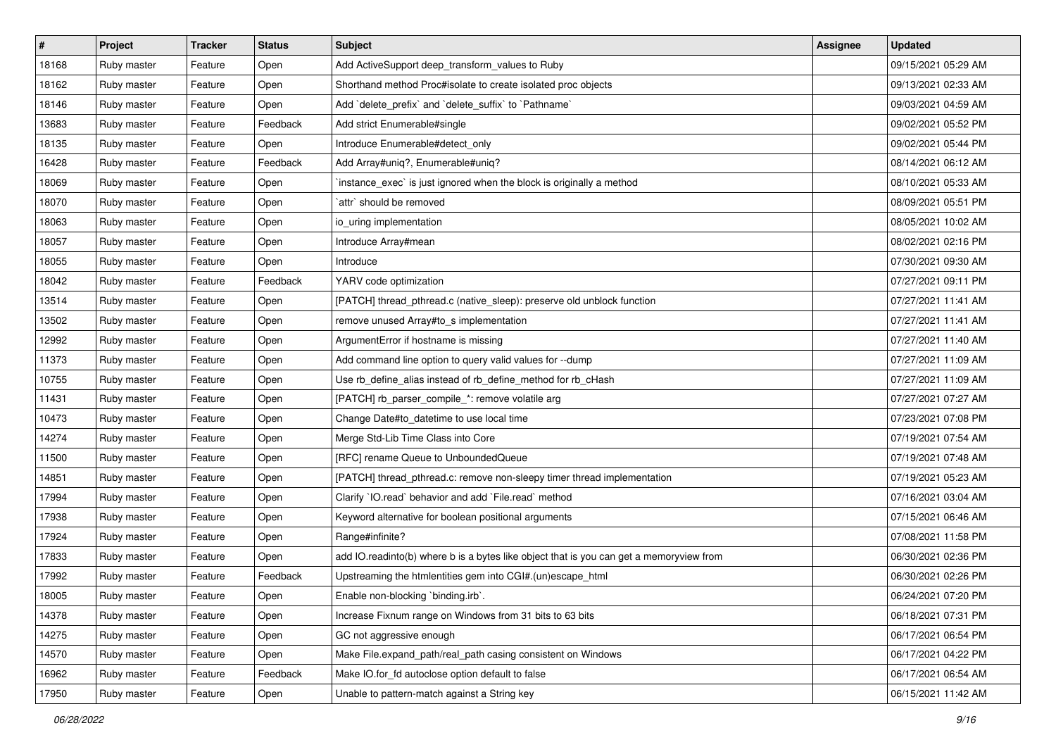| $\vert$ # | Project     | <b>Tracker</b> | <b>Status</b> | <b>Subject</b>                                                                          | <b>Assignee</b> | <b>Updated</b>      |
|-----------|-------------|----------------|---------------|-----------------------------------------------------------------------------------------|-----------------|---------------------|
| 18168     | Ruby master | Feature        | Open          | Add ActiveSupport deep_transform_values to Ruby                                         |                 | 09/15/2021 05:29 AM |
| 18162     | Ruby master | Feature        | Open          | Shorthand method Proc#isolate to create isolated proc objects                           |                 | 09/13/2021 02:33 AM |
| 18146     | Ruby master | Feature        | Open          | Add 'delete_prefix' and 'delete_suffix' to 'Pathname'                                   |                 | 09/03/2021 04:59 AM |
| 13683     | Ruby master | Feature        | Feedback      | Add strict Enumerable#single                                                            |                 | 09/02/2021 05:52 PM |
| 18135     | Ruby master | Feature        | Open          | Introduce Enumerable#detect_only                                                        |                 | 09/02/2021 05:44 PM |
| 16428     | Ruby master | Feature        | Feedback      | Add Array#uniq?, Enumerable#uniq?                                                       |                 | 08/14/2021 06:12 AM |
| 18069     | Ruby master | Feature        | Open          | 'instance_exec' is just ignored when the block is originally a method                   |                 | 08/10/2021 05:33 AM |
| 18070     | Ruby master | Feature        | Open          | `attr` should be removed                                                                |                 | 08/09/2021 05:51 PM |
| 18063     | Ruby master | Feature        | Open          | io_uring implementation                                                                 |                 | 08/05/2021 10:02 AM |
| 18057     | Ruby master | Feature        | Open          | Introduce Array#mean                                                                    |                 | 08/02/2021 02:16 PM |
| 18055     | Ruby master | Feature        | Open          | Introduce                                                                               |                 | 07/30/2021 09:30 AM |
| 18042     | Ruby master | Feature        | Feedback      | YARV code optimization                                                                  |                 | 07/27/2021 09:11 PM |
| 13514     | Ruby master | Feature        | Open          | [PATCH] thread_pthread.c (native_sleep): preserve old unblock function                  |                 | 07/27/2021 11:41 AM |
| 13502     | Ruby master | Feature        | Open          | remove unused Array#to_s implementation                                                 |                 | 07/27/2021 11:41 AM |
| 12992     | Ruby master | Feature        | Open          | ArgumentError if hostname is missing                                                    |                 | 07/27/2021 11:40 AM |
| 11373     | Ruby master | Feature        | Open          | Add command line option to query valid values for --dump                                |                 | 07/27/2021 11:09 AM |
| 10755     | Ruby master | Feature        | Open          | Use rb_define_alias instead of rb_define_method for rb_cHash                            |                 | 07/27/2021 11:09 AM |
| 11431     | Ruby master | Feature        | Open          | [PATCH] rb_parser_compile_*: remove volatile arg                                        |                 | 07/27/2021 07:27 AM |
| 10473     | Ruby master | Feature        | Open          | Change Date#to_datetime to use local time                                               |                 | 07/23/2021 07:08 PM |
| 14274     | Ruby master | Feature        | Open          | Merge Std-Lib Time Class into Core                                                      |                 | 07/19/2021 07:54 AM |
| 11500     | Ruby master | Feature        | Open          | [RFC] rename Queue to UnboundedQueue                                                    |                 | 07/19/2021 07:48 AM |
| 14851     | Ruby master | Feature        | Open          | [PATCH] thread_pthread.c: remove non-sleepy timer thread implementation                 |                 | 07/19/2021 05:23 AM |
| 17994     | Ruby master | Feature        | Open          | Clarify 'IO.read' behavior and add 'File.read' method                                   |                 | 07/16/2021 03:04 AM |
| 17938     | Ruby master | Feature        | Open          | Keyword alternative for boolean positional arguments                                    |                 | 07/15/2021 06:46 AM |
| 17924     | Ruby master | Feature        | Open          | Range#infinite?                                                                         |                 | 07/08/2021 11:58 PM |
| 17833     | Ruby master | Feature        | Open          | add IO.readinto(b) where b is a bytes like object that is you can get a memoryview from |                 | 06/30/2021 02:36 PM |
| 17992     | Ruby master | Feature        | Feedback      | Upstreaming the htmlentities gem into CGI#.(un)escape_html                              |                 | 06/30/2021 02:26 PM |
| 18005     | Ruby master | Feature        | Open          | Enable non-blocking `binding.irb`.                                                      |                 | 06/24/2021 07:20 PM |
| 14378     | Ruby master | Feature        | Open          | Increase Fixnum range on Windows from 31 bits to 63 bits                                |                 | 06/18/2021 07:31 PM |
| 14275     | Ruby master | Feature        | Open          | GC not aggressive enough                                                                |                 | 06/17/2021 06:54 PM |
| 14570     | Ruby master | Feature        | Open          | Make File.expand_path/real_path casing consistent on Windows                            |                 | 06/17/2021 04:22 PM |
| 16962     | Ruby master | Feature        | Feedback      | Make IO.for_fd autoclose option default to false                                        |                 | 06/17/2021 06:54 AM |
| 17950     | Ruby master | Feature        | Open          | Unable to pattern-match against a String key                                            |                 | 06/15/2021 11:42 AM |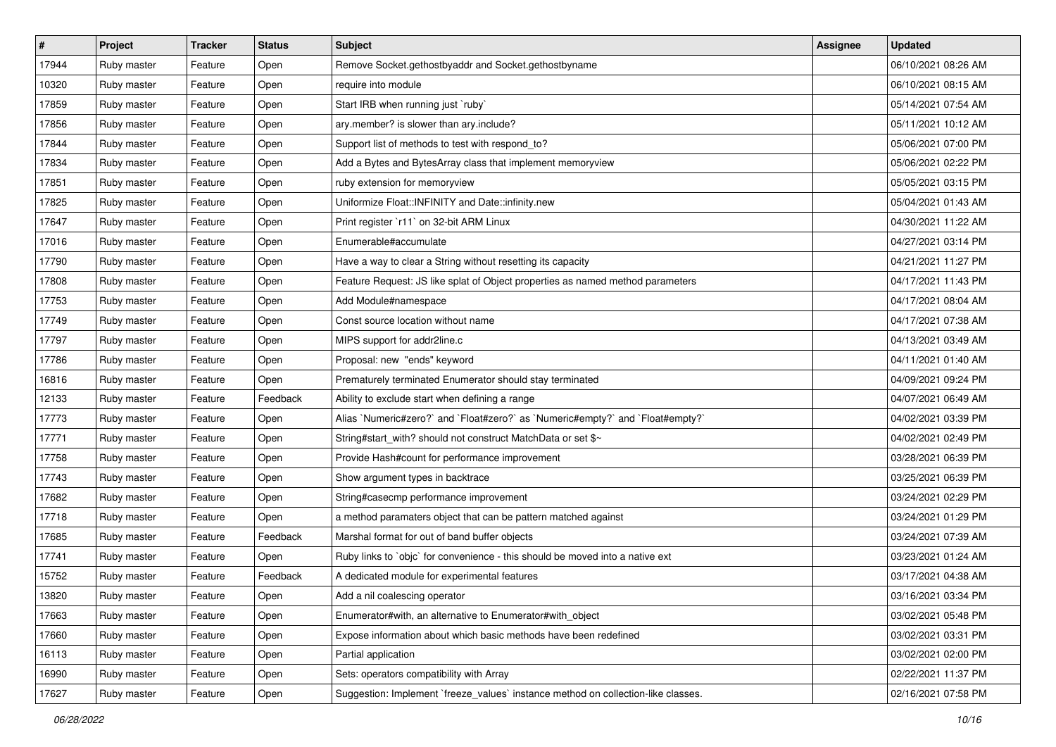| $\vert$ # | Project     | <b>Tracker</b> | <b>Status</b> | <b>Subject</b>                                                                    | Assignee | <b>Updated</b>      |
|-----------|-------------|----------------|---------------|-----------------------------------------------------------------------------------|----------|---------------------|
| 17944     | Ruby master | Feature        | Open          | Remove Socket.gethostbyaddr and Socket.gethostbyname                              |          | 06/10/2021 08:26 AM |
| 10320     | Ruby master | Feature        | Open          | require into module                                                               |          | 06/10/2021 08:15 AM |
| 17859     | Ruby master | Feature        | Open          | Start IRB when running just `ruby`                                                |          | 05/14/2021 07:54 AM |
| 17856     | Ruby master | Feature        | Open          | ary.member? is slower than ary.include?                                           |          | 05/11/2021 10:12 AM |
| 17844     | Ruby master | Feature        | Open          | Support list of methods to test with respond_to?                                  |          | 05/06/2021 07:00 PM |
| 17834     | Ruby master | Feature        | Open          | Add a Bytes and BytesArray class that implement memoryview                        |          | 05/06/2021 02:22 PM |
| 17851     | Ruby master | Feature        | Open          | ruby extension for memoryview                                                     |          | 05/05/2021 03:15 PM |
| 17825     | Ruby master | Feature        | Open          | Uniformize Float::INFINITY and Date::infinity.new                                 |          | 05/04/2021 01:43 AM |
| 17647     | Ruby master | Feature        | Open          | Print register `r11` on 32-bit ARM Linux                                          |          | 04/30/2021 11:22 AM |
| 17016     | Ruby master | Feature        | Open          | Enumerable#accumulate                                                             |          | 04/27/2021 03:14 PM |
| 17790     | Ruby master | Feature        | Open          | Have a way to clear a String without resetting its capacity                       |          | 04/21/2021 11:27 PM |
| 17808     | Ruby master | Feature        | Open          | Feature Request: JS like splat of Object properties as named method parameters    |          | 04/17/2021 11:43 PM |
| 17753     | Ruby master | Feature        | Open          | Add Module#namespace                                                              |          | 04/17/2021 08:04 AM |
| 17749     | Ruby master | Feature        | Open          | Const source location without name                                                |          | 04/17/2021 07:38 AM |
| 17797     | Ruby master | Feature        | Open          | MIPS support for addr2line.c                                                      |          | 04/13/2021 03:49 AM |
| 17786     | Ruby master | Feature        | Open          | Proposal: new "ends" keyword                                                      |          | 04/11/2021 01:40 AM |
| 16816     | Ruby master | Feature        | Open          | Prematurely terminated Enumerator should stay terminated                          |          | 04/09/2021 09:24 PM |
| 12133     | Ruby master | Feature        | Feedback      | Ability to exclude start when defining a range                                    |          | 04/07/2021 06:49 AM |
| 17773     | Ruby master | Feature        | Open          | Alias `Numeric#zero?` and `Float#zero?` as `Numeric#empty?` and `Float#empty?`    |          | 04/02/2021 03:39 PM |
| 17771     | Ruby master | Feature        | Open          | String#start_with? should not construct MatchData or set \$~                      |          | 04/02/2021 02:49 PM |
| 17758     | Ruby master | Feature        | Open          | Provide Hash#count for performance improvement                                    |          | 03/28/2021 06:39 PM |
| 17743     | Ruby master | Feature        | Open          | Show argument types in backtrace                                                  |          | 03/25/2021 06:39 PM |
| 17682     | Ruby master | Feature        | Open          | String#casecmp performance improvement                                            |          | 03/24/2021 02:29 PM |
| 17718     | Ruby master | Feature        | Open          | a method paramaters object that can be pattern matched against                    |          | 03/24/2021 01:29 PM |
| 17685     | Ruby master | Feature        | Feedback      | Marshal format for out of band buffer objects                                     |          | 03/24/2021 07:39 AM |
| 17741     | Ruby master | Feature        | Open          | Ruby links to `objc` for convenience - this should be moved into a native ext     |          | 03/23/2021 01:24 AM |
| 15752     | Ruby master | Feature        | Feedback      | A dedicated module for experimental features                                      |          | 03/17/2021 04:38 AM |
| 13820     | Ruby master | Feature        | Open          | Add a nil coalescing operator                                                     |          | 03/16/2021 03:34 PM |
| 17663     | Ruby master | Feature        | Open          | Enumerator#with, an alternative to Enumerator#with object                         |          | 03/02/2021 05:48 PM |
| 17660     | Ruby master | Feature        | Open          | Expose information about which basic methods have been redefined                  |          | 03/02/2021 03:31 PM |
| 16113     | Ruby master | Feature        | Open          | Partial application                                                               |          | 03/02/2021 02:00 PM |
| 16990     | Ruby master | Feature        | Open          | Sets: operators compatibility with Array                                          |          | 02/22/2021 11:37 PM |
| 17627     | Ruby master | Feature        | Open          | Suggestion: Implement `freeze_values` instance method on collection-like classes. |          | 02/16/2021 07:58 PM |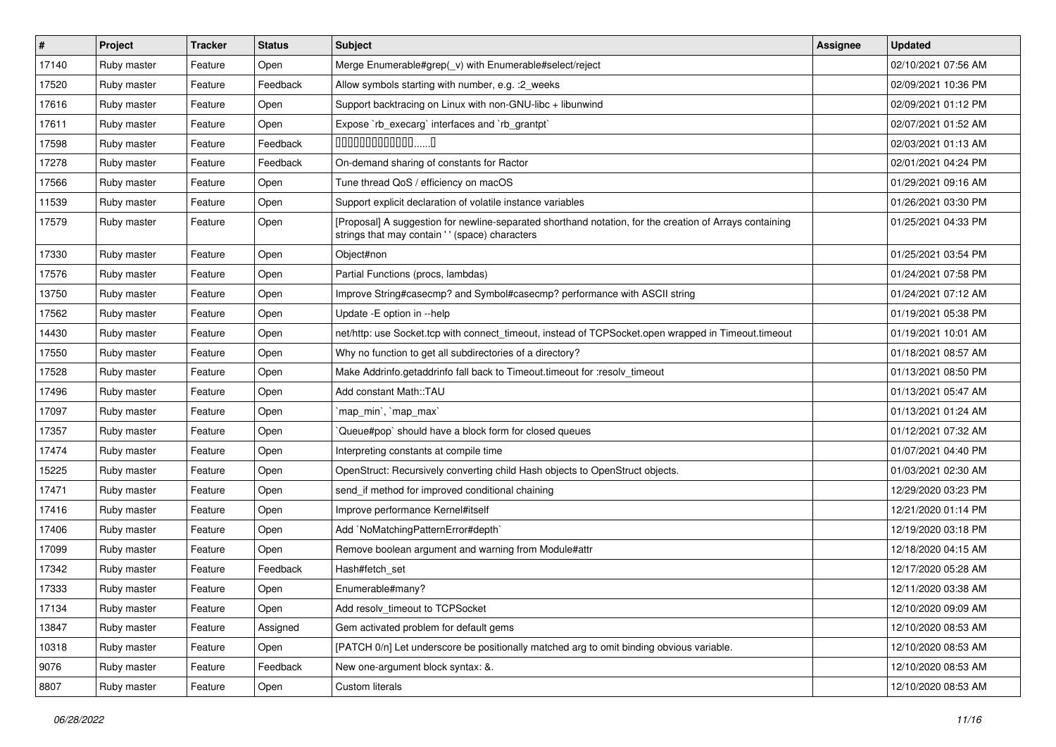| $\vert$ # | Project     | <b>Tracker</b> | <b>Status</b> | <b>Subject</b>                                                                                                                                            | Assignee | <b>Updated</b>      |
|-----------|-------------|----------------|---------------|-----------------------------------------------------------------------------------------------------------------------------------------------------------|----------|---------------------|
| 17140     | Ruby master | Feature        | Open          | Merge Enumerable#grep(_v) with Enumerable#select/reject                                                                                                   |          | 02/10/2021 07:56 AM |
| 17520     | Ruby master | Feature        | Feedback      | Allow symbols starting with number, e.g. : 2_weeks                                                                                                        |          | 02/09/2021 10:36 PM |
| 17616     | Ruby master | Feature        | Open          | Support backtracing on Linux with non-GNU-libc + libunwind                                                                                                |          | 02/09/2021 01:12 PM |
| 17611     | Ruby master | Feature        | Open          | Expose `rb_execarg` interfaces and `rb_grantpt`                                                                                                           |          | 02/07/2021 01:52 AM |
| 17598     | Ruby master | Feature        | Feedback      | $0000000000000010$                                                                                                                                        |          | 02/03/2021 01:13 AM |
| 17278     | Ruby master | Feature        | Feedback      | On-demand sharing of constants for Ractor                                                                                                                 |          | 02/01/2021 04:24 PM |
| 17566     | Ruby master | Feature        | Open          | Tune thread QoS / efficiency on macOS                                                                                                                     |          | 01/29/2021 09:16 AM |
| 11539     | Ruby master | Feature        | Open          | Support explicit declaration of volatile instance variables                                                                                               |          | 01/26/2021 03:30 PM |
| 17579     | Ruby master | Feature        | Open          | [Proposal] A suggestion for newline-separated shorthand notation, for the creation of Arrays containing<br>strings that may contain '' (space) characters |          | 01/25/2021 04:33 PM |
| 17330     | Ruby master | Feature        | Open          | Object#non                                                                                                                                                |          | 01/25/2021 03:54 PM |
| 17576     | Ruby master | Feature        | Open          | Partial Functions (procs, lambdas)                                                                                                                        |          | 01/24/2021 07:58 PM |
| 13750     | Ruby master | Feature        | Open          | Improve String#casecmp? and Symbol#casecmp? performance with ASCII string                                                                                 |          | 01/24/2021 07:12 AM |
| 17562     | Ruby master | Feature        | Open          | Update -E option in --help                                                                                                                                |          | 01/19/2021 05:38 PM |
| 14430     | Ruby master | Feature        | Open          | net/http: use Socket.tcp with connect_timeout, instead of TCPSocket.open wrapped in Timeout.timeout                                                       |          | 01/19/2021 10:01 AM |
| 17550     | Ruby master | Feature        | Open          | Why no function to get all subdirectories of a directory?                                                                                                 |          | 01/18/2021 08:57 AM |
| 17528     | Ruby master | Feature        | Open          | Make Addrinfo.getaddrinfo fall back to Timeout.timeout for :resolv_timeout                                                                                |          | 01/13/2021 08:50 PM |
| 17496     | Ruby master | Feature        | Open          | Add constant Math::TAU                                                                                                                                    |          | 01/13/2021 05:47 AM |
| 17097     | Ruby master | Feature        | Open          | `map_min`, `map_max`                                                                                                                                      |          | 01/13/2021 01:24 AM |
| 17357     | Ruby master | Feature        | Open          | Queue#pop` should have a block form for closed queues                                                                                                     |          | 01/12/2021 07:32 AM |
| 17474     | Ruby master | Feature        | Open          | Interpreting constants at compile time                                                                                                                    |          | 01/07/2021 04:40 PM |
| 15225     | Ruby master | Feature        | Open          | OpenStruct: Recursively converting child Hash objects to OpenStruct objects.                                                                              |          | 01/03/2021 02:30 AM |
| 17471     | Ruby master | Feature        | Open          | send_if method for improved conditional chaining                                                                                                          |          | 12/29/2020 03:23 PM |
| 17416     | Ruby master | Feature        | Open          | Improve performance Kernel#itself                                                                                                                         |          | 12/21/2020 01:14 PM |
| 17406     | Ruby master | Feature        | Open          | Add `NoMatchingPatternError#depth`                                                                                                                        |          | 12/19/2020 03:18 PM |
| 17099     | Ruby master | Feature        | Open          | Remove boolean argument and warning from Module#attr                                                                                                      |          | 12/18/2020 04:15 AM |
| 17342     | Ruby master | Feature        | Feedback      | Hash#fetch set                                                                                                                                            |          | 12/17/2020 05:28 AM |
| 17333     | Ruby master | Feature        | Open          | Enumerable#many?                                                                                                                                          |          | 12/11/2020 03:38 AM |
| 17134     | Ruby master | Feature        | Open          | Add resolv_timeout to TCPSocket                                                                                                                           |          | 12/10/2020 09:09 AM |
| 13847     | Ruby master | Feature        | Assigned      | Gem activated problem for default gems                                                                                                                    |          | 12/10/2020 08:53 AM |
| 10318     | Ruby master | Feature        | Open          | [PATCH 0/n] Let underscore be positionally matched arg to omit binding obvious variable.                                                                  |          | 12/10/2020 08:53 AM |
| 9076      | Ruby master | Feature        | Feedback      | New one-argument block syntax: &.                                                                                                                         |          | 12/10/2020 08:53 AM |
| 8807      | Ruby master | Feature        | Open          | Custom literals                                                                                                                                           |          | 12/10/2020 08:53 AM |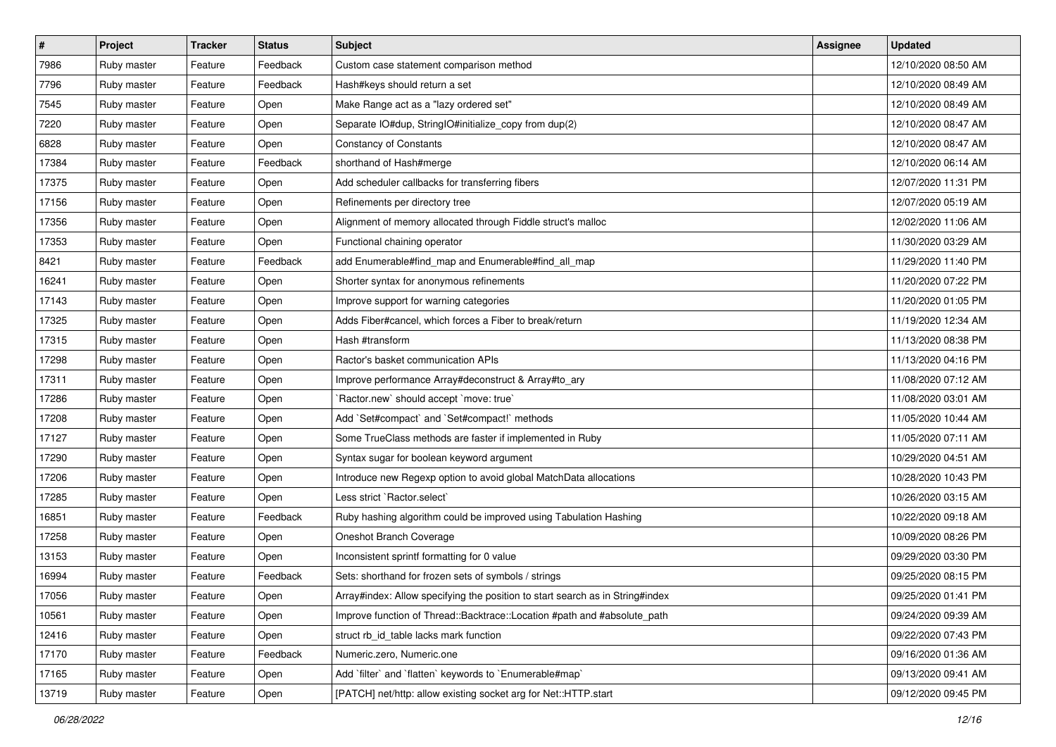| $\vert$ # | <b>Project</b> | <b>Tracker</b> | <b>Status</b> | <b>Subject</b>                                                                | <b>Assignee</b> | <b>Updated</b>      |
|-----------|----------------|----------------|---------------|-------------------------------------------------------------------------------|-----------------|---------------------|
| 7986      | Ruby master    | Feature        | Feedback      | Custom case statement comparison method                                       |                 | 12/10/2020 08:50 AM |
| 7796      | Ruby master    | Feature        | Feedback      | Hash#keys should return a set                                                 |                 | 12/10/2020 08:49 AM |
| 7545      | Ruby master    | Feature        | Open          | Make Range act as a "lazy ordered set"                                        |                 | 12/10/2020 08:49 AM |
| 7220      | Ruby master    | Feature        | Open          | Separate IO#dup, StringIO#initialize_copy from dup(2)                         |                 | 12/10/2020 08:47 AM |
| 6828      | Ruby master    | Feature        | Open          | <b>Constancy of Constants</b>                                                 |                 | 12/10/2020 08:47 AM |
| 17384     | Ruby master    | Feature        | Feedback      | shorthand of Hash#merge                                                       |                 | 12/10/2020 06:14 AM |
| 17375     | Ruby master    | Feature        | Open          | Add scheduler callbacks for transferring fibers                               |                 | 12/07/2020 11:31 PM |
| 17156     | Ruby master    | Feature        | Open          | Refinements per directory tree                                                |                 | 12/07/2020 05:19 AM |
| 17356     | Ruby master    | Feature        | Open          | Alignment of memory allocated through Fiddle struct's malloc                  |                 | 12/02/2020 11:06 AM |
| 17353     | Ruby master    | Feature        | Open          | Functional chaining operator                                                  |                 | 11/30/2020 03:29 AM |
| 8421      | Ruby master    | Feature        | Feedback      | add Enumerable#find_map and Enumerable#find_all_map                           |                 | 11/29/2020 11:40 PM |
| 16241     | Ruby master    | Feature        | Open          | Shorter syntax for anonymous refinements                                      |                 | 11/20/2020 07:22 PM |
| 17143     | Ruby master    | Feature        | Open          | Improve support for warning categories                                        |                 | 11/20/2020 01:05 PM |
| 17325     | Ruby master    | Feature        | Open          | Adds Fiber#cancel, which forces a Fiber to break/return                       |                 | 11/19/2020 12:34 AM |
| 17315     | Ruby master    | Feature        | Open          | Hash #transform                                                               |                 | 11/13/2020 08:38 PM |
| 17298     | Ruby master    | Feature        | Open          | Ractor's basket communication APIs                                            |                 | 11/13/2020 04:16 PM |
| 17311     | Ruby master    | Feature        | Open          | Improve performance Array#deconstruct & Array#to_ary                          |                 | 11/08/2020 07:12 AM |
| 17286     | Ruby master    | Feature        | Open          | 'Ractor.new' should accept 'move: true'                                       |                 | 11/08/2020 03:01 AM |
| 17208     | Ruby master    | Feature        | Open          | Add `Set#compact` and `Set#compact!` methods                                  |                 | 11/05/2020 10:44 AM |
| 17127     | Ruby master    | Feature        | Open          | Some TrueClass methods are faster if implemented in Ruby                      |                 | 11/05/2020 07:11 AM |
| 17290     | Ruby master    | Feature        | Open          | Syntax sugar for boolean keyword argument                                     |                 | 10/29/2020 04:51 AM |
| 17206     | Ruby master    | Feature        | Open          | Introduce new Regexp option to avoid global MatchData allocations             |                 | 10/28/2020 10:43 PM |
| 17285     | Ruby master    | Feature        | Open          | Less strict `Ractor.select`                                                   |                 | 10/26/2020 03:15 AM |
| 16851     | Ruby master    | Feature        | Feedback      | Ruby hashing algorithm could be improved using Tabulation Hashing             |                 | 10/22/2020 09:18 AM |
| 17258     | Ruby master    | Feature        | Open          | Oneshot Branch Coverage                                                       |                 | 10/09/2020 08:26 PM |
| 13153     | Ruby master    | Feature        | Open          | Inconsistent sprintf formatting for 0 value                                   |                 | 09/29/2020 03:30 PM |
| 16994     | Ruby master    | Feature        | Feedback      | Sets: shorthand for frozen sets of symbols / strings                          |                 | 09/25/2020 08:15 PM |
| 17056     | Ruby master    | Feature        | Open          | Array#index: Allow specifying the position to start search as in String#index |                 | 09/25/2020 01:41 PM |
| 10561     | Ruby master    | Feature        | Open          | Improve function of Thread::Backtrace::Location #path and #absolute path      |                 | 09/24/2020 09:39 AM |
| 12416     | Ruby master    | Feature        | Open          | struct rb id table lacks mark function                                        |                 | 09/22/2020 07:43 PM |
| 17170     | Ruby master    | Feature        | Feedback      | Numeric.zero, Numeric.one                                                     |                 | 09/16/2020 01:36 AM |
| 17165     | Ruby master    | Feature        | Open          | Add 'filter' and 'flatten' keywords to 'Enumerable#map'                       |                 | 09/13/2020 09:41 AM |
| 13719     | Ruby master    | Feature        | Open          | [PATCH] net/http: allow existing socket arg for Net::HTTP.start               |                 | 09/12/2020 09:45 PM |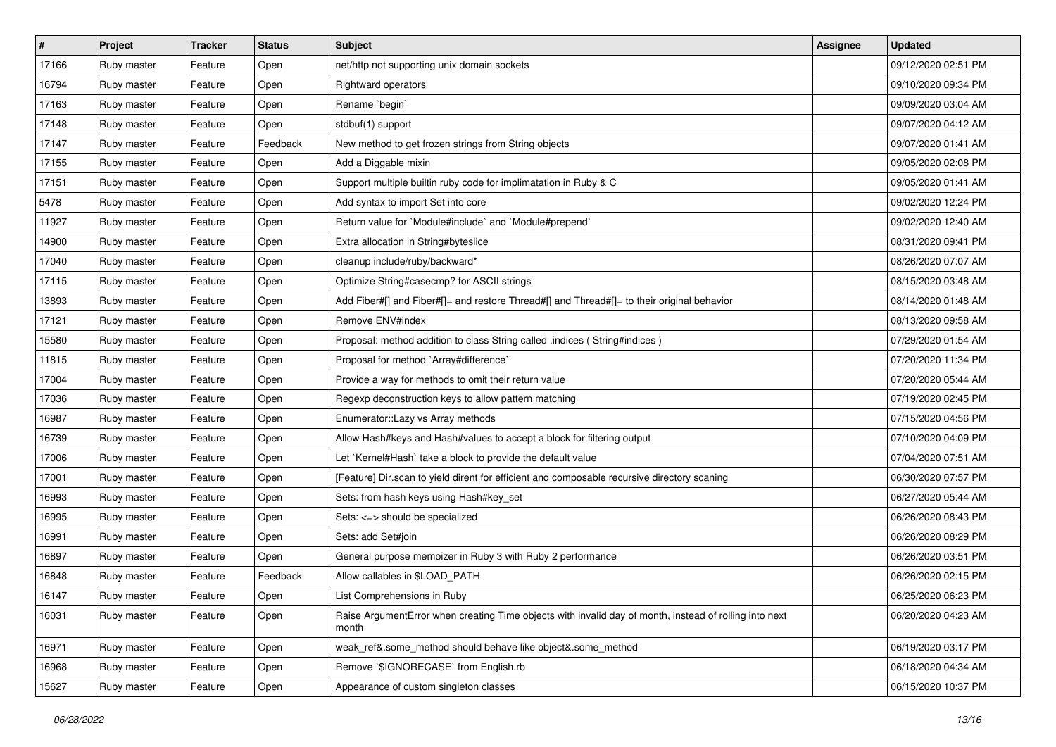| $\sharp$ | Project     | <b>Tracker</b> | <b>Status</b> | Subject                                                                                                         | Assignee | <b>Updated</b>      |
|----------|-------------|----------------|---------------|-----------------------------------------------------------------------------------------------------------------|----------|---------------------|
| 17166    | Ruby master | Feature        | Open          | net/http not supporting unix domain sockets                                                                     |          | 09/12/2020 02:51 PM |
| 16794    | Ruby master | Feature        | Open          | Rightward operators                                                                                             |          | 09/10/2020 09:34 PM |
| 17163    | Ruby master | Feature        | Open          | Rename `begin`                                                                                                  |          | 09/09/2020 03:04 AM |
| 17148    | Ruby master | Feature        | Open          | stdbuf(1) support                                                                                               |          | 09/07/2020 04:12 AM |
| 17147    | Ruby master | Feature        | Feedback      | New method to get frozen strings from String objects                                                            |          | 09/07/2020 01:41 AM |
| 17155    | Ruby master | Feature        | Open          | Add a Diggable mixin                                                                                            |          | 09/05/2020 02:08 PM |
| 17151    | Ruby master | Feature        | Open          | Support multiple builtin ruby code for implimatation in Ruby & C                                                |          | 09/05/2020 01:41 AM |
| 5478     | Ruby master | Feature        | Open          | Add syntax to import Set into core                                                                              |          | 09/02/2020 12:24 PM |
| 11927    | Ruby master | Feature        | Open          | Return value for `Module#include` and `Module#prepend`                                                          |          | 09/02/2020 12:40 AM |
| 14900    | Ruby master | Feature        | Open          | Extra allocation in String#byteslice                                                                            |          | 08/31/2020 09:41 PM |
| 17040    | Ruby master | Feature        | Open          | cleanup include/ruby/backward*                                                                                  |          | 08/26/2020 07:07 AM |
| 17115    | Ruby master | Feature        | Open          | Optimize String#casecmp? for ASCII strings                                                                      |          | 08/15/2020 03:48 AM |
| 13893    | Ruby master | Feature        | Open          | Add Fiber#[] and Fiber#[]= and restore Thread#[] and Thread#[]= to their original behavior                      |          | 08/14/2020 01:48 AM |
| 17121    | Ruby master | Feature        | Open          | Remove ENV#index                                                                                                |          | 08/13/2020 09:58 AM |
| 15580    | Ruby master | Feature        | Open          | Proposal: method addition to class String called .indices (String#indices)                                      |          | 07/29/2020 01:54 AM |
| 11815    | Ruby master | Feature        | Open          | Proposal for method `Array#difference`                                                                          |          | 07/20/2020 11:34 PM |
| 17004    | Ruby master | Feature        | Open          | Provide a way for methods to omit their return value                                                            |          | 07/20/2020 05:44 AM |
| 17036    | Ruby master | Feature        | Open          | Regexp deconstruction keys to allow pattern matching                                                            |          | 07/19/2020 02:45 PM |
| 16987    | Ruby master | Feature        | Open          | Enumerator::Lazy vs Array methods                                                                               |          | 07/15/2020 04:56 PM |
| 16739    | Ruby master | Feature        | Open          | Allow Hash#keys and Hash#values to accept a block for filtering output                                          |          | 07/10/2020 04:09 PM |
| 17006    | Ruby master | Feature        | Open          | Let `Kernel#Hash` take a block to provide the default value                                                     |          | 07/04/2020 07:51 AM |
| 17001    | Ruby master | Feature        | Open          | [Feature] Dir.scan to yield dirent for efficient and composable recursive directory scaning                     |          | 06/30/2020 07:57 PM |
| 16993    | Ruby master | Feature        | Open          | Sets: from hash keys using Hash#key_set                                                                         |          | 06/27/2020 05:44 AM |
| 16995    | Ruby master | Feature        | Open          | Sets: <=> should be specialized                                                                                 |          | 06/26/2020 08:43 PM |
| 16991    | Ruby master | Feature        | Open          | Sets: add Set#join                                                                                              |          | 06/26/2020 08:29 PM |
| 16897    | Ruby master | Feature        | Open          | General purpose memoizer in Ruby 3 with Ruby 2 performance                                                      |          | 06/26/2020 03:51 PM |
| 16848    | Ruby master | Feature        | Feedback      | Allow callables in \$LOAD_PATH                                                                                  |          | 06/26/2020 02:15 PM |
| 16147    | Ruby master | Feature        | Open          | List Comprehensions in Ruby                                                                                     |          | 06/25/2020 06:23 PM |
| 16031    | Ruby master | Feature        | Open          | Raise ArgumentError when creating Time objects with invalid day of month, instead of rolling into next<br>month |          | 06/20/2020 04:23 AM |
| 16971    | Ruby master | Feature        | Open          | weak ref&.some method should behave like object&.some method                                                    |          | 06/19/2020 03:17 PM |
| 16968    | Ruby master | Feature        | Open          | Remove `\$IGNORECASE` from English.rb                                                                           |          | 06/18/2020 04:34 AM |
| 15627    | Ruby master | Feature        | Open          | Appearance of custom singleton classes                                                                          |          | 06/15/2020 10:37 PM |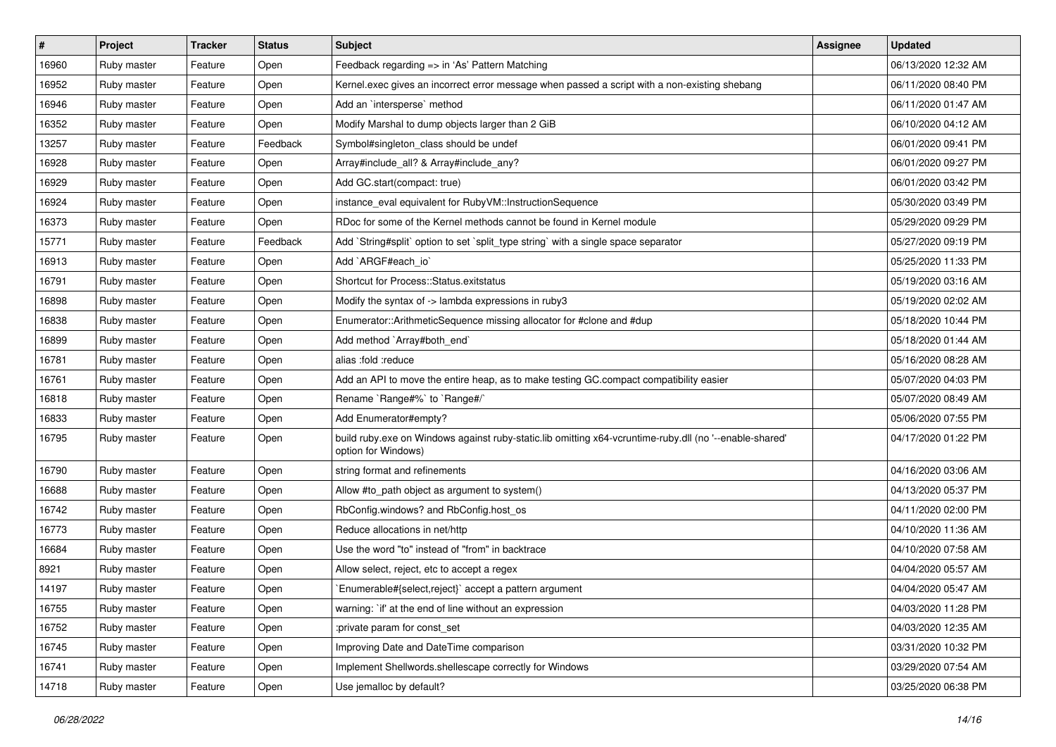| $\vert$ # | Project     | <b>Tracker</b> | <b>Status</b> | <b>Subject</b>                                                                                                                 | Assignee | <b>Updated</b>      |
|-----------|-------------|----------------|---------------|--------------------------------------------------------------------------------------------------------------------------------|----------|---------------------|
| 16960     | Ruby master | Feature        | Open          | Feedback regarding => in 'As' Pattern Matching                                                                                 |          | 06/13/2020 12:32 AM |
| 16952     | Ruby master | Feature        | Open          | Kernel.exec gives an incorrect error message when passed a script with a non-existing shebang                                  |          | 06/11/2020 08:40 PM |
| 16946     | Ruby master | Feature        | Open          | Add an `intersperse` method                                                                                                    |          | 06/11/2020 01:47 AM |
| 16352     | Ruby master | Feature        | Open          | Modify Marshal to dump objects larger than 2 GiB                                                                               |          | 06/10/2020 04:12 AM |
| 13257     | Ruby master | Feature        | Feedback      | Symbol#singleton_class should be undef                                                                                         |          | 06/01/2020 09:41 PM |
| 16928     | Ruby master | Feature        | Open          | Array#include_all? & Array#include_any?                                                                                        |          | 06/01/2020 09:27 PM |
| 16929     | Ruby master | Feature        | Open          | Add GC.start(compact: true)                                                                                                    |          | 06/01/2020 03:42 PM |
| 16924     | Ruby master | Feature        | Open          | instance eval equivalent for RubyVM::InstructionSequence                                                                       |          | 05/30/2020 03:49 PM |
| 16373     | Ruby master | Feature        | Open          | RDoc for some of the Kernel methods cannot be found in Kernel module                                                           |          | 05/29/2020 09:29 PM |
| 15771     | Ruby master | Feature        | Feedback      | Add `String#split` option to set `split_type string` with a single space separator                                             |          | 05/27/2020 09:19 PM |
| 16913     | Ruby master | Feature        | Open          | Add `ARGF#each_io`                                                                                                             |          | 05/25/2020 11:33 PM |
| 16791     | Ruby master | Feature        | Open          | Shortcut for Process::Status.exitstatus                                                                                        |          | 05/19/2020 03:16 AM |
| 16898     | Ruby master | Feature        | Open          | Modify the syntax of -> lambda expressions in ruby3                                                                            |          | 05/19/2020 02:02 AM |
| 16838     | Ruby master | Feature        | Open          | Enumerator::ArithmeticSequence missing allocator for #clone and #dup                                                           |          | 05/18/2020 10:44 PM |
| 16899     | Ruby master | Feature        | Open          | Add method `Array#both_end`                                                                                                    |          | 05/18/2020 01:44 AM |
| 16781     | Ruby master | Feature        | Open          | alias :fold :reduce                                                                                                            |          | 05/16/2020 08:28 AM |
| 16761     | Ruby master | Feature        | Open          | Add an API to move the entire heap, as to make testing GC.compact compatibility easier                                         |          | 05/07/2020 04:03 PM |
| 16818     | Ruby master | Feature        | Open          | Rename `Range#%` to `Range#/`                                                                                                  |          | 05/07/2020 08:49 AM |
| 16833     | Ruby master | Feature        | Open          | Add Enumerator#empty?                                                                                                          |          | 05/06/2020 07:55 PM |
| 16795     | Ruby master | Feature        | Open          | build ruby.exe on Windows against ruby-static.lib omitting x64-vcruntime-ruby.dll (no '--enable-shared'<br>option for Windows) |          | 04/17/2020 01:22 PM |
| 16790     | Ruby master | Feature        | Open          | string format and refinements                                                                                                  |          | 04/16/2020 03:06 AM |
| 16688     | Ruby master | Feature        | Open          | Allow #to_path object as argument to system()                                                                                  |          | 04/13/2020 05:37 PM |
| 16742     | Ruby master | Feature        | Open          | RbConfig.windows? and RbConfig.host_os                                                                                         |          | 04/11/2020 02:00 PM |
| 16773     | Ruby master | Feature        | Open          | Reduce allocations in net/http                                                                                                 |          | 04/10/2020 11:36 AM |
| 16684     | Ruby master | Feature        | Open          | Use the word "to" instead of "from" in backtrace                                                                               |          | 04/10/2020 07:58 AM |
| 8921      | Ruby master | Feature        | Open          | Allow select, reject, etc to accept a regex                                                                                    |          | 04/04/2020 05:57 AM |
| 14197     | Ruby master | Feature        | Open          | Enumerable#{select,reject}` accept a pattern argument                                                                          |          | 04/04/2020 05:47 AM |
| 16755     | Ruby master | Feature        | Open          | warning: `if' at the end of line without an expression                                                                         |          | 04/03/2020 11:28 PM |
| 16752     | Ruby master | Feature        | Open          | :private param for const set                                                                                                   |          | 04/03/2020 12:35 AM |
| 16745     | Ruby master | Feature        | Open          | Improving Date and DateTime comparison                                                                                         |          | 03/31/2020 10:32 PM |
| 16741     | Ruby master | Feature        | Open          | Implement Shellwords.shellescape correctly for Windows                                                                         |          | 03/29/2020 07:54 AM |
| 14718     | Ruby master | Feature        | Open          | Use jemalloc by default?                                                                                                       |          | 03/25/2020 06:38 PM |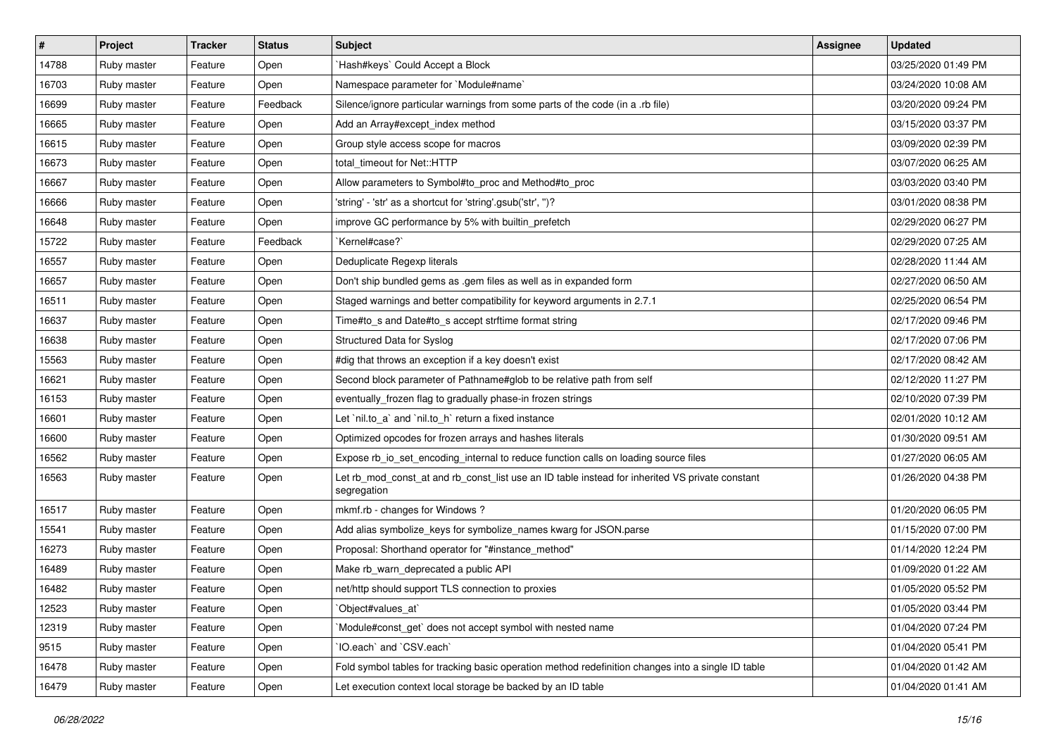| #     | Project     | <b>Tracker</b> | <b>Status</b> | <b>Subject</b>                                                                                                 | <b>Assignee</b> | <b>Updated</b>      |
|-------|-------------|----------------|---------------|----------------------------------------------------------------------------------------------------------------|-----------------|---------------------|
| 14788 | Ruby master | Feature        | Open          | Hash#keys` Could Accept a Block                                                                                |                 | 03/25/2020 01:49 PM |
| 16703 | Ruby master | Feature        | Open          | Namespace parameter for `Module#name`                                                                          |                 | 03/24/2020 10:08 AM |
| 16699 | Ruby master | Feature        | Feedback      | Silence/ignore particular warnings from some parts of the code (in a .rb file)                                 |                 | 03/20/2020 09:24 PM |
| 16665 | Ruby master | Feature        | Open          | Add an Array#except_index method                                                                               |                 | 03/15/2020 03:37 PM |
| 16615 | Ruby master | Feature        | Open          | Group style access scope for macros                                                                            |                 | 03/09/2020 02:39 PM |
| 16673 | Ruby master | Feature        | Open          | total timeout for Net::HTTP                                                                                    |                 | 03/07/2020 06:25 AM |
| 16667 | Ruby master | Feature        | Open          | Allow parameters to Symbol#to_proc and Method#to_proc                                                          |                 | 03/03/2020 03:40 PM |
| 16666 | Ruby master | Feature        | Open          | 'string' - 'str' as a shortcut for 'string'.gsub('str', ")?                                                    |                 | 03/01/2020 08:38 PM |
| 16648 | Ruby master | Feature        | Open          | improve GC performance by 5% with builtin_prefetch                                                             |                 | 02/29/2020 06:27 PM |
| 15722 | Ruby master | Feature        | Feedback      | Kernel#case?`                                                                                                  |                 | 02/29/2020 07:25 AM |
| 16557 | Ruby master | Feature        | Open          | Deduplicate Regexp literals                                                                                    |                 | 02/28/2020 11:44 AM |
| 16657 | Ruby master | Feature        | Open          | Don't ship bundled gems as .gem files as well as in expanded form                                              |                 | 02/27/2020 06:50 AM |
| 16511 | Ruby master | Feature        | Open          | Staged warnings and better compatibility for keyword arguments in 2.7.1                                        |                 | 02/25/2020 06:54 PM |
| 16637 | Ruby master | Feature        | Open          | Time#to_s and Date#to_s accept strftime format string                                                          |                 | 02/17/2020 09:46 PM |
| 16638 | Ruby master | Feature        | Open          | <b>Structured Data for Syslog</b>                                                                              |                 | 02/17/2020 07:06 PM |
| 15563 | Ruby master | Feature        | Open          | #dig that throws an exception if a key doesn't exist                                                           |                 | 02/17/2020 08:42 AM |
| 16621 | Ruby master | Feature        | Open          | Second block parameter of Pathname#glob to be relative path from self                                          |                 | 02/12/2020 11:27 PM |
| 16153 | Ruby master | Feature        | Open          | eventually_frozen flag to gradually phase-in frozen strings                                                    |                 | 02/10/2020 07:39 PM |
| 16601 | Ruby master | Feature        | Open          | Let `nil.to_a` and `nil.to_h` return a fixed instance                                                          |                 | 02/01/2020 10:12 AM |
| 16600 | Ruby master | Feature        | Open          | Optimized opcodes for frozen arrays and hashes literals                                                        |                 | 01/30/2020 09:51 AM |
| 16562 | Ruby master | Feature        | Open          | Expose rb_io_set_encoding_internal to reduce function calls on loading source files                            |                 | 01/27/2020 06:05 AM |
| 16563 | Ruby master | Feature        | Open          | Let rb_mod_const_at and rb_const_list use an ID table instead for inherited VS private constant<br>segregation |                 | 01/26/2020 04:38 PM |
| 16517 | Ruby master | Feature        | Open          | mkmf.rb - changes for Windows?                                                                                 |                 | 01/20/2020 06:05 PM |
| 15541 | Ruby master | Feature        | Open          | Add alias symbolize_keys for symbolize_names kwarg for JSON.parse                                              |                 | 01/15/2020 07:00 PM |
| 16273 | Ruby master | Feature        | Open          | Proposal: Shorthand operator for "#instance_method"                                                            |                 | 01/14/2020 12:24 PM |
| 16489 | Ruby master | Feature        | Open          | Make rb_warn_deprecated a public API                                                                           |                 | 01/09/2020 01:22 AM |
| 16482 | Ruby master | Feature        | Open          | net/http should support TLS connection to proxies                                                              |                 | 01/05/2020 05:52 PM |
| 12523 | Ruby master | Feature        | Open          | `Object#values_at`                                                                                             |                 | 01/05/2020 03:44 PM |
| 12319 | Ruby master | Feature        | Open          | Module#const_get` does not accept symbol with nested name                                                      |                 | 01/04/2020 07:24 PM |
| 9515  | Ruby master | Feature        | Open          | 'IO.each' and 'CSV.each'                                                                                       |                 | 01/04/2020 05:41 PM |
| 16478 | Ruby master | Feature        | Open          | Fold symbol tables for tracking basic operation method redefinition changes into a single ID table             |                 | 01/04/2020 01:42 AM |
| 16479 | Ruby master | Feature        | Open          | Let execution context local storage be backed by an ID table                                                   |                 | 01/04/2020 01:41 AM |